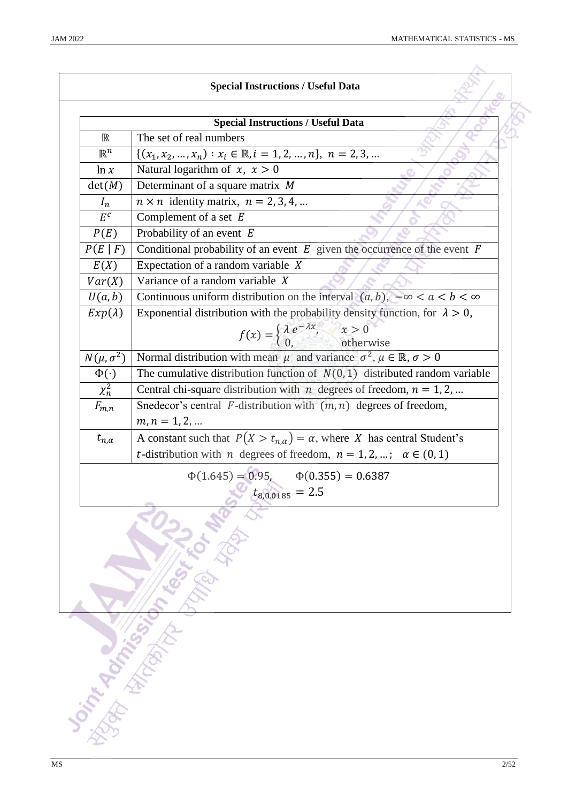|                    | <b>Special Instructions / Useful Data</b>                                                      |
|--------------------|------------------------------------------------------------------------------------------------|
|                    |                                                                                                |
|                    | <b>Special Instructions / Useful Data</b>                                                      |
| $\mathbb R$        | The set of real numbers                                                                        |
| $\mathbb{R}^n$     | $\{(x_1, x_2, , x_n) : x_i \in \mathbb{R}, i = 1, 2, , n\}, n = 2, 3, $                        |
| ln x               | Natural logarithm of $x, x > 0$                                                                |
| det(M)             | Determinant of a square matrix $M$                                                             |
| $I_n$              | $n \times n$ identity matrix, $n = 2, 3, 4, $                                                  |
| $E^c$              | Complement of a set $E$                                                                        |
| P(E)               | Probability of an event $E$                                                                    |
| P(E F)             | Conditional probability of an event $E$ given the occurrence of the event $F$                  |
| E(X)               | Expectation of a random variable $X$                                                           |
| Var(X)             | Variance of a random variable $X$                                                              |
| U(a, b)            | Continuous uniform distribution on the interval $(a, b)$ , $-\infty < a < b < \infty$          |
| $Exp(\lambda)$     | Exponential distribution with the probability density function, for $\lambda > 0$ ,            |
|                    | $f(x) = \begin{cases} \lambda e^{-\lambda x}, & x > 0 \\ 0, & \text{otherwise} \end{cases}$    |
|                    |                                                                                                |
| $N(\mu, \sigma^2)$ | Normal distribution with mean $\mu$ and variance $\sigma^2$ , $\mu \in \mathbb{R}, \sigma > 0$ |
| $\Phi(\cdot)$      | The cumulative distribution function of $N(0, 1)$ distributed random variable                  |
| $\chi^2_n$         | Central chi-square distribution with $n$ degrees of freedom, $n = 1, 2, $                      |
| $F_{m,n}$          | Snedecor's central $F$ -distribution with $(m, n)$ degrees of freedom,                         |
|                    | $m, n = 1, 2, $                                                                                |
| $t_{n,\alpha}$     | A constant such that $P(X > t_{n,\alpha}) = \alpha$ , where X has central Student's            |
|                    | <i>t</i> -distribution with <i>n</i> degrees of freedom, $n = 1, 2, $ ; $\alpha \in (0, 1)$    |
|                    | $\Phi(1.645) = 0.95, \quad \Phi(0.355) = 0.6387$                                               |
|                    | $t_{8,0.0185} = 2.5$                                                                           |
|                    |                                                                                                |
|                    |                                                                                                |
|                    | LEGAL TO MAN                                                                                   |
|                    |                                                                                                |
|                    |                                                                                                |
|                    |                                                                                                |
|                    |                                                                                                |
|                    |                                                                                                |
|                    |                                                                                                |
|                    |                                                                                                |
|                    |                                                                                                |
|                    |                                                                                                |
|                    |                                                                                                |
|                    |                                                                                                |
|                    |                                                                                                |
|                    | Joint Against Part                                                                             |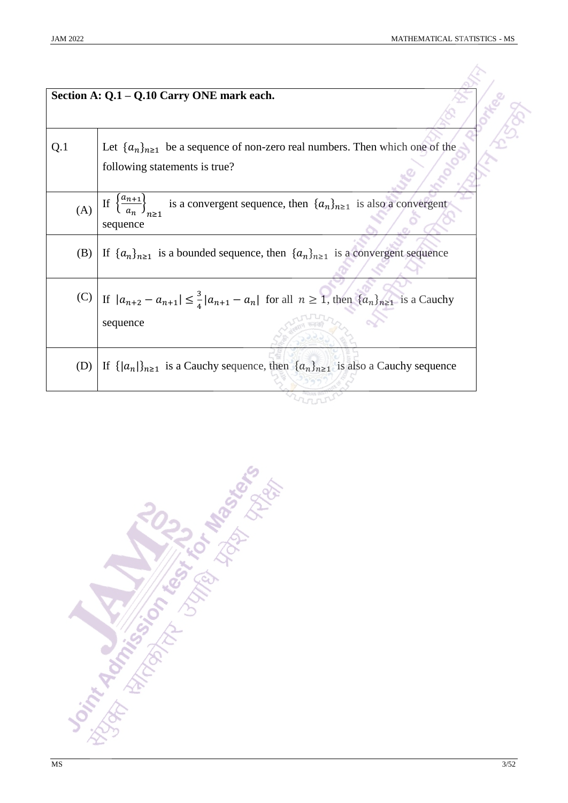|     | Section A: Q.1 – Q.10 Carry ONE mark each.                                                                                               |
|-----|------------------------------------------------------------------------------------------------------------------------------------------|
|     |                                                                                                                                          |
| Q.1 | Let $\{a_n\}_{n\geq 1}$ be a sequence of non-zero real numbers. Then which one of the<br>following statements is true?                   |
|     | (A) If $\left\{\frac{a_{n+1}}{a_n}\right\}_{n>1}$<br>is a convergent sequence, then $\{a_n\}_{n\geq 1}$ is also a convergent<br>sequence |
| (B) | If $\{a_n\}_{n\geq 1}$ is a bounded sequence, then $\{a_n\}_{n\geq 1}$ is a convergent sequence                                          |
|     | (C) If $ a_{n+2} - a_{n+1}  \leq \frac{3}{4}  a_{n+1} - a_n $ for all $n \geq 1$ , then $\{a_n\}_{n \geq 1}$ is a Cauchy<br>sequence     |
| (D) | If $\{  a_n  \}_{n \geq 1}$ is a Cauchy sequence, then $\{ a_n \}_{n \geq 1}$ is also a Cauchy sequence                                  |
|     |                                                                                                                                          |

**Don't Additional Miles Repairs Repairs**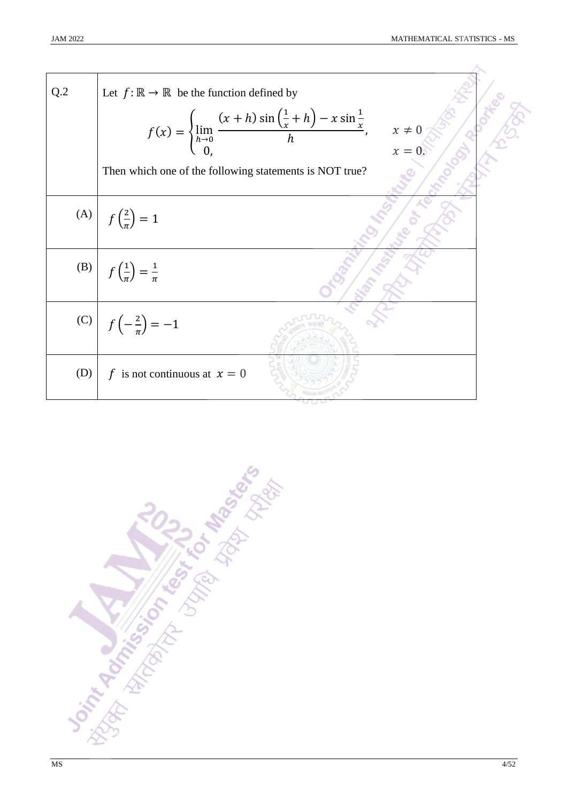| Q.2 | Let $f: \mathbb{R} \to \mathbb{R}$ be the function defined by<br>$f(x) = \begin{cases} \lim_{h \to 0} \frac{(x+h)\sin(\frac{1}{x}+h) - x\sin\frac{1}{x}}{h}, \\ 0, \end{cases}$<br>$x \neq 0$ |  |
|-----|-----------------------------------------------------------------------------------------------------------------------------------------------------------------------------------------------|--|
|     | $x=0.$<br>Then which one of the following statements is NOT true?                                                                                                                             |  |
|     | (A) $f(\frac{2}{\pi}) = 1$                                                                                                                                                                    |  |
|     | (B) $f\left(\frac{1}{\pi}\right) = \frac{1}{\pi}$                                                                                                                                             |  |
|     | (C) $f(-\frac{2}{\pi}) = -1$                                                                                                                                                                  |  |
| (D) | f is not continuous at $x = 0$                                                                                                                                                                |  |

**Distribution of the Strategy of the Base**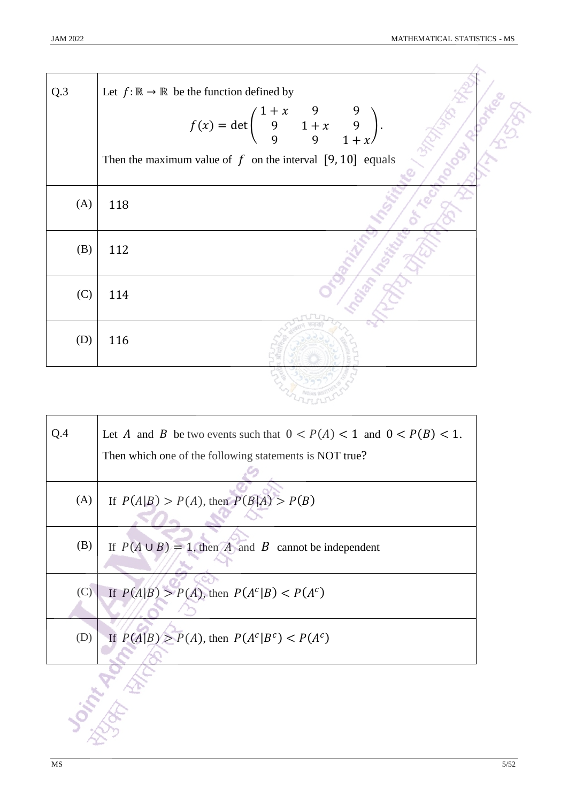| Q.3 | Let $f: \mathbb{R} \to \mathbb{R}$ be the function defined by                         |
|-----|---------------------------------------------------------------------------------------|
|     | $f(x) = det \begin{pmatrix} 1+x & 9 & 9 \\ 9 & 1+x & 9 \\ 9 & 9 & 1+x \end{pmatrix}.$ |
|     | Then the maximum value of $f$ on the interval [9,10] equals                           |
| (A) | 118                                                                                   |
| (B) | 112                                                                                   |
| (C) | 114                                                                                   |
| (D) | 116                                                                                   |
|     |                                                                                       |

| Q.4 | Let A and B be two events such that $0 < P(A) < 1$ and $0 < P(B) < 1$ . |
|-----|-------------------------------------------------------------------------|
|     | Then which one of the following statements is NOT true?                 |
|     |                                                                         |
| (A) | If $P(A B) > P(A)$ , then $P(B A) > P(B)$                               |
|     |                                                                         |
| (B) | If $P(A \cup B) = 1$ , then A and B cannot be independent               |
|     |                                                                         |
| (C) | If $P(A B) > P(A)$ , then $P(Ac B) < P(Ac)$                             |
|     |                                                                         |
|     |                                                                         |
| (D) | If $P(A B) > P(A)$ , then $P(Ac Bc) < P(Ac)$                            |
|     |                                                                         |
|     |                                                                         |
|     |                                                                         |
|     |                                                                         |
|     |                                                                         |
|     |                                                                         |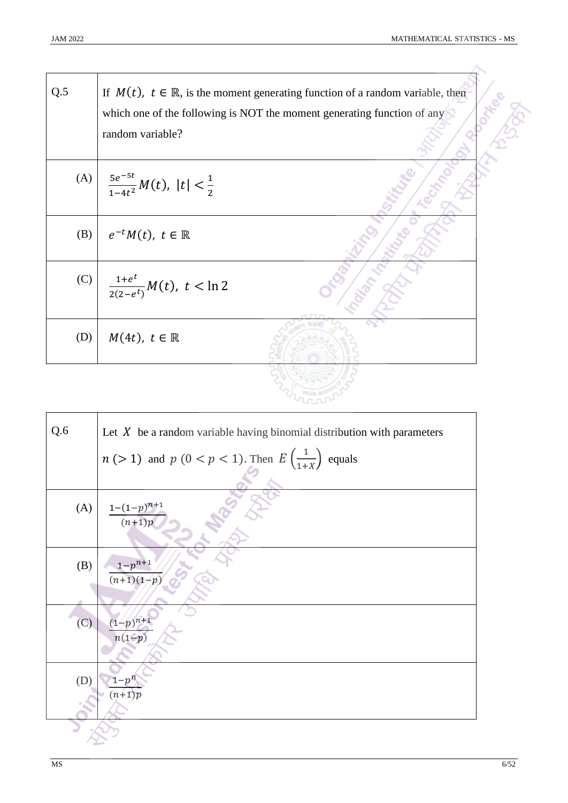| Q.5 | If $M(t)$ , $t \in \mathbb{R}$ , is the moment generating function of a random variable, then<br>which one of the following is NOT the moment generating function of any<br>random variable? |
|-----|----------------------------------------------------------------------------------------------------------------------------------------------------------------------------------------------|
| (A) | $rac{5e^{-5t}}{1-4t^2}M(t),$ $ t <\frac{1}{2}$                                                                                                                                               |
| (B) | $e^{-t}M(t)$ , $t \in \mathbb{R}$                                                                                                                                                            |
| (C) | $\frac{1+e^t}{2(2-e^t)}M(t), t < \ln 2$                                                                                                                                                      |
| (D) | $M(4t), t \in \mathbb{R}$                                                                                                                                                                    |

| Q.6 | Let $X$ be a random variable having binomial distribution with parameters |
|-----|---------------------------------------------------------------------------|
|     | $n (> 1)$ and $p (0 < p < 1)$ . Then $E\left(\frac{1}{1+X}\right)$ equals |
|     |                                                                           |
| (A) | $\frac{1-(1-p)^{n+1}}{(n+1)p}$                                            |
| (B) | $1-p^{n+1}$<br>$(n+1)(1-p)$                                               |
| (C) | $\frac{(1-p)^{n+1}}{n(1-p)}$                                              |
| (D) | $1-p^n$<br>$(n+1)p$                                                       |
|     |                                                                           |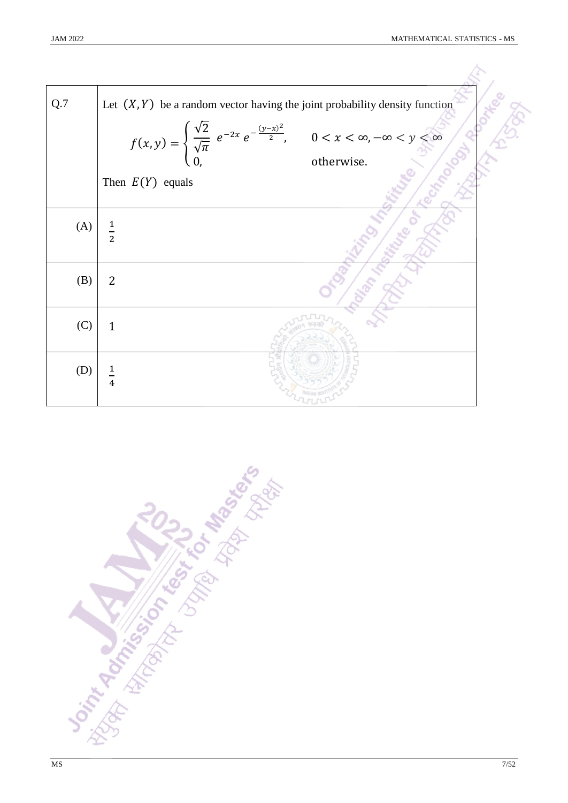| Q.7 | Let $(X, Y)$ be a random vector having the joint probability density function                                                                                      |
|-----|--------------------------------------------------------------------------------------------------------------------------------------------------------------------|
|     | $f(x, y) = \begin{cases} \frac{\sqrt{2}}{\sqrt{\pi}} e^{-2x} e^{-\frac{(y-x)^2}{2}}, & 0 < x < \infty, -\infty < y < \infty \\ 0, & \text{otherwise.} \end{cases}$ |
|     |                                                                                                                                                                    |
|     | Then $E(Y)$ equals                                                                                                                                                 |
| (A) | $\frac{1}{2}$                                                                                                                                                      |
| (B) | 2                                                                                                                                                                  |
| (C) | $\mathbf{1}$                                                                                                                                                       |
| (D) | 4                                                                                                                                                                  |

**Joint Administration of the Administration of the Administration of the Administration of the Administration**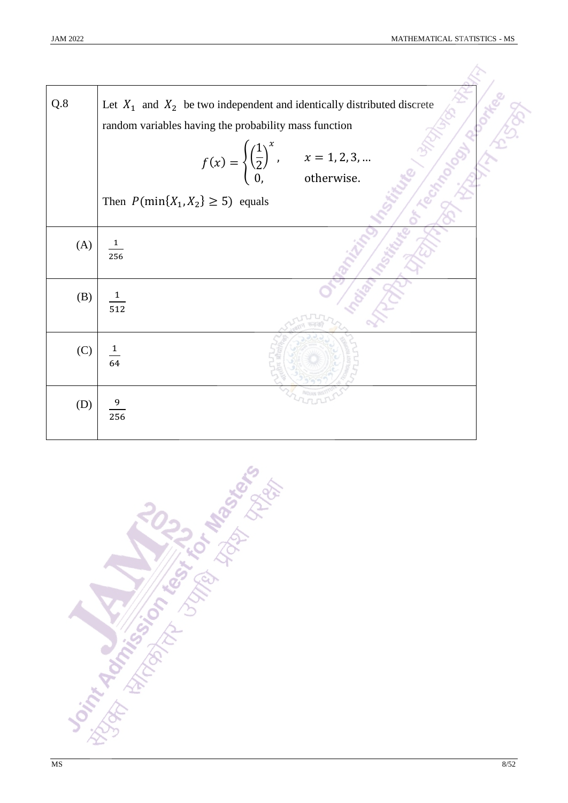| Q.8 | Let $X_1$ and $X_2$ be two independent and identically distributed discrete                              |  |
|-----|----------------------------------------------------------------------------------------------------------|--|
|     | random variables having the probability mass function                                                    |  |
|     | $f(x) = \begin{cases} \left(\frac{1}{2}\right)^x, & x = 1, 2, 3,  \\ 0, & \text{otherwise.} \end{cases}$ |  |
|     | Then $P(\min\{X_1, X_2\} \ge 5)$ equals                                                                  |  |
| (A) | $\mathbf{1}$<br>256                                                                                      |  |
| (B) | $\mathbf{1}$<br>512                                                                                      |  |
| (C) | $\overline{1}$<br>64                                                                                     |  |
| (D) | 256                                                                                                      |  |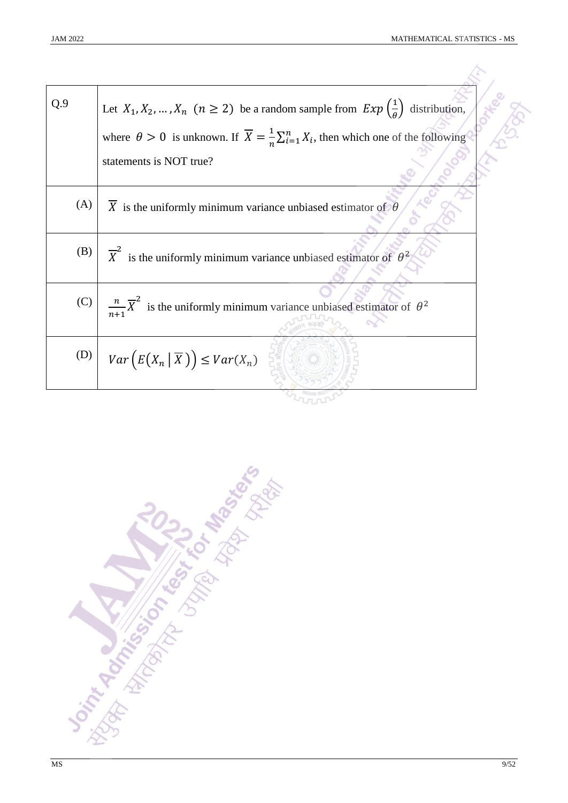| Q.9 | Let $X_1, X_2, , X_n$ $(n \ge 2)$ be a random sample from $Exp\left(\frac{1}{a}\right)$ distribution,                |
|-----|----------------------------------------------------------------------------------------------------------------------|
|     | where $\theta > 0$ is unknown. If $\overline{X} = \frac{1}{n} \sum_{i=1}^{n} X_i$ , then which one of the following  |
|     | statements is NOT true?                                                                                              |
| (A) | X is the uniformly minimum variance unbiased estimator of $\theta$                                                   |
| (B) | $\overline{X}^2$ is the uniformly minimum variance unbiased estimator of $\theta^2$                                  |
|     | (C) $\left  \frac{n}{n+1} \overline{X}^2 \right $ is the uniformly minimum variance unbiased estimator of $\theta^2$ |
|     | (D) $\left  Var\left(E(X_n   \overline{X})\right) \leq Var(X_n)\right $                                              |
|     |                                                                                                                      |

**Don't Additional Management of the Management of the Contractor**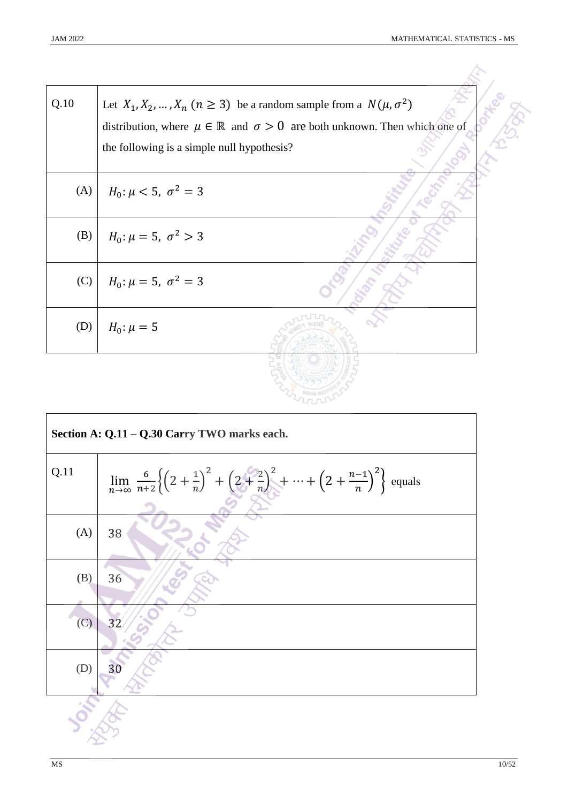| Q.10 | Let $X_1, X_2, , X_n$ $(n \ge 3)$ be a random sample from a $N(\mu, \sigma^2)$<br>distribution, where $\mu \in \mathbb{R}$ and $\sigma > 0$ are both unknown. Then which one of<br>the following is a simple null hypothesis? |
|------|-------------------------------------------------------------------------------------------------------------------------------------------------------------------------------------------------------------------------------|
| (A)  | $H_0: \mu < 5, \sigma^2 = 3$                                                                                                                                                                                                  |
| (B)  | $H_0: \mu = 5, \sigma^2 > 3$                                                                                                                                                                                                  |
| (C)  | $H_0: \mu = 5, \sigma^2 = 3$                                                                                                                                                                                                  |
| (D)  | $H_0: \mu = 5$                                                                                                                                                                                                                |
|      |                                                                                                                                                                                                                               |

| Section A: Q.11 - Q.30 Carry TWO marks each. |                                                                                                                                                                        |
|----------------------------------------------|------------------------------------------------------------------------------------------------------------------------------------------------------------------------|
| Q.11                                         | $\lim_{n \to \infty} \frac{6}{n+2} \left\{ \left(2 + \frac{1}{n}\right)^2 + \left(2 + \frac{2}{n}\right)^2 + \dots + \left(2 + \frac{n-1}{n}\right)^2 \right\}$ equals |
| (A)                                          | 38                                                                                                                                                                     |
| (B)                                          | 36                                                                                                                                                                     |
| (C)                                          | 32                                                                                                                                                                     |
| (D)                                          | 30                                                                                                                                                                     |
|                                              |                                                                                                                                                                        |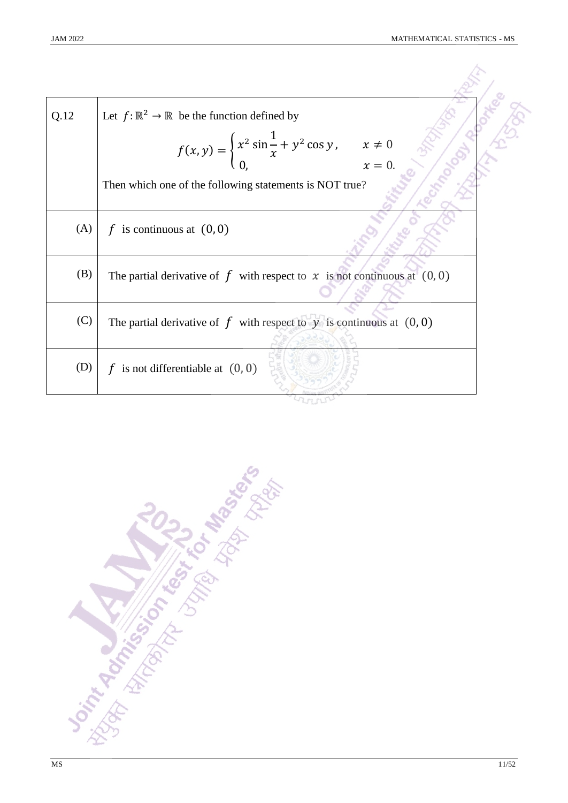| Q.12 | Let $f: \mathbb{R}^2 \to \mathbb{R}$ be the function defined by                                    |  |
|------|----------------------------------------------------------------------------------------------------|--|
|      | $f(x, y) = \begin{cases} x^2 \sin \frac{1}{x} + y^2 \cos y, & x \neq 0 \\ 0, & x = 0. \end{cases}$ |  |
|      | Then which one of the following statements is NOT true?                                            |  |
| (A)  | f is continuous at $(0, 0)$                                                                        |  |
| (B)  | The partial derivative of f with respect to x is not continuous at $(0,0)$                         |  |
| (C)  | The partial derivative of $f$ with respect to $y$ is continuous at $(0,0)$                         |  |
| (D)  | f is not differentiable at $(0, 0)$                                                                |  |
|      |                                                                                                    |  |

Joseph Reporting Comparison of the Manufacture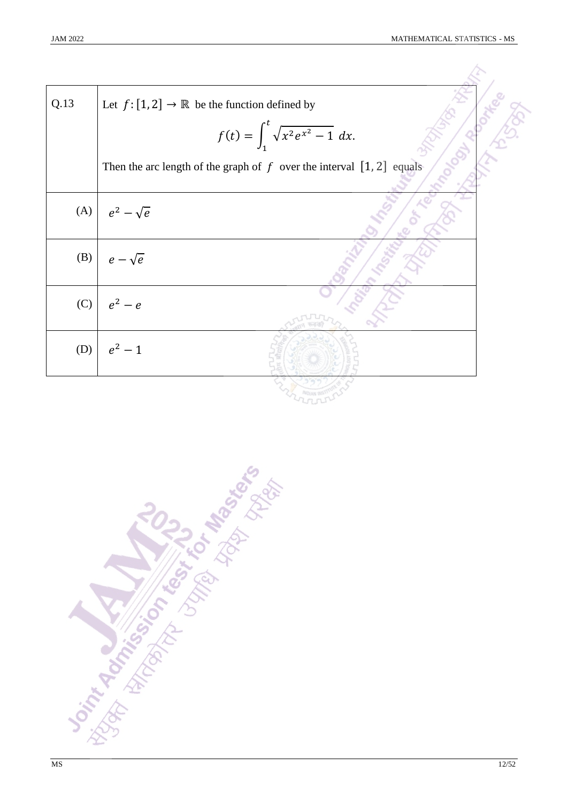| Q.13 | Let $f: [1,2] \rightarrow \mathbb{R}$ be the function defined by<br>$f(t) = \int_1^t \sqrt{x^2 e^{x^2} - 1} dx.$ |
|------|------------------------------------------------------------------------------------------------------------------|
|      | Then the arc length of the graph of $f$ over the interval $[1, 2]$ equals                                        |
| (A)  | $e^2-\sqrt{e}$                                                                                                   |
| (B)  | $e - \sqrt{e}$                                                                                                   |
| (C)  | $e^2-e$                                                                                                          |
| (D)  | $e^2 - 1$                                                                                                        |
|      |                                                                                                                  |

**Distribution of the School Assessment**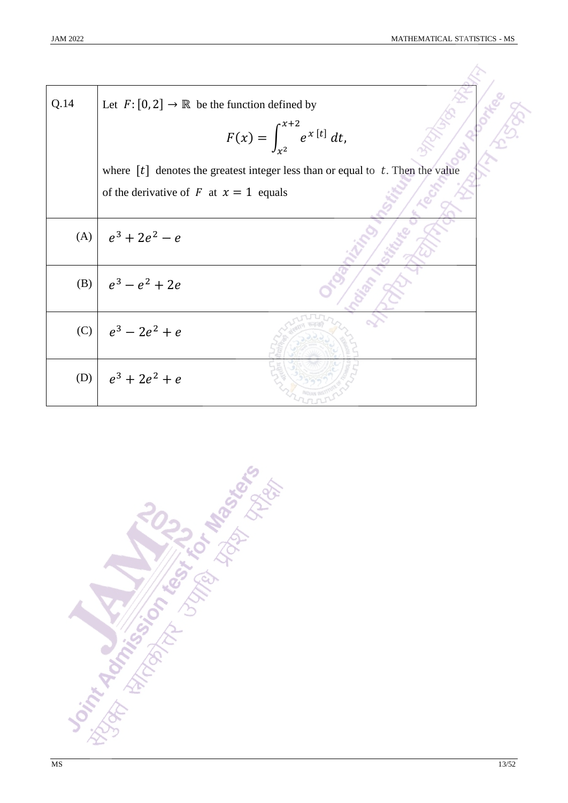| Q.14 | Let $F: [0, 2] \to \mathbb{R}$ be the function defined by<br>$F(x) = \int_{x^2}^{x+2} e^{x[t]} dt,$ |  |
|------|-----------------------------------------------------------------------------------------------------|--|
|      | where $[t]$ denotes the greatest integer less than or equal to t. Then the value                    |  |
|      | of the derivative of F at $x = 1$ equals                                                            |  |
| (A)  | $e^3 + 2e^2 - e$                                                                                    |  |
| (B)  | $e^3 - e^2 + 2e$                                                                                    |  |
| (C)  | $e^3 - 2e^2 + e$                                                                                    |  |
| (D)  | $e^3 + 2e^2 + e$                                                                                    |  |

Joseph Advisor of the light of the design of the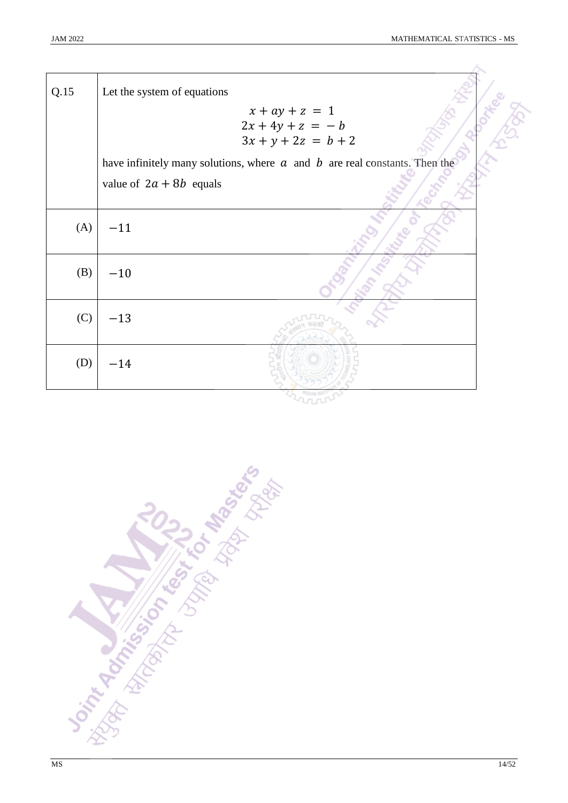| Q.15 | Let the system of equations                                                    |
|------|--------------------------------------------------------------------------------|
|      | $x + ay + z = 1$<br>$2x + 4y + z = -b$<br>$3x + y + 2z = b + 2$                |
|      | have infinitely many solutions, where $a$ and $b$ are real constants. Then the |
|      | value of $2a + 8b$ equals                                                      |
| (A)  | $-11$                                                                          |
| (B)  | $-10$                                                                          |
| (C)  | $-13$                                                                          |
| (D)  | $-14$                                                                          |

**Point Administration Report Report Follows**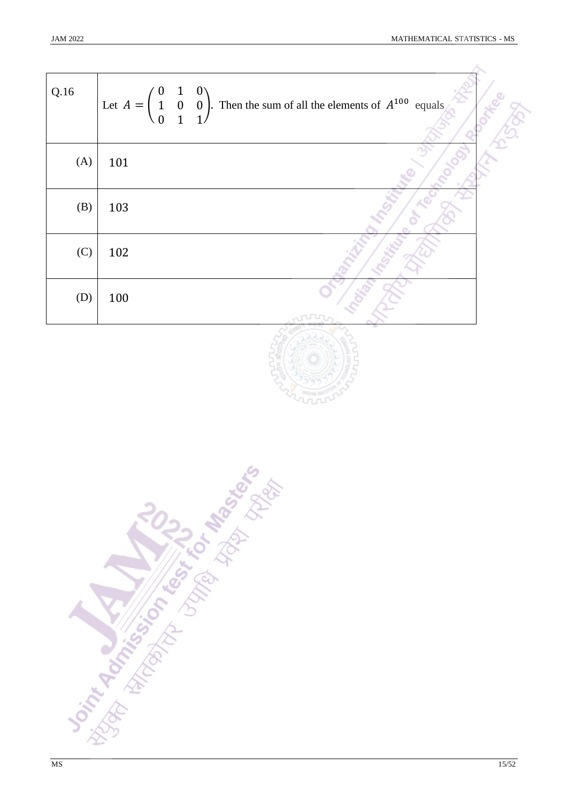$\lambda$ 

| Q.16 | Let $A = \begin{pmatrix} 0 & 1 & 0 \\ 1 & 0 & 0 \\ 0 & 1 & 1 \end{pmatrix}$ . Then the sum of all the elements of $A^{100}$ equals |  |
|------|------------------------------------------------------------------------------------------------------------------------------------|--|
| (A)  | 101                                                                                                                                |  |
| (B)  | 103                                                                                                                                |  |
| (C)  | 102                                                                                                                                |  |
| (D)  | 100                                                                                                                                |  |



**DSTATIONAL ASSESSMENT ROLL AND ROLL PROPERTY AND ROLL PROPERTY.**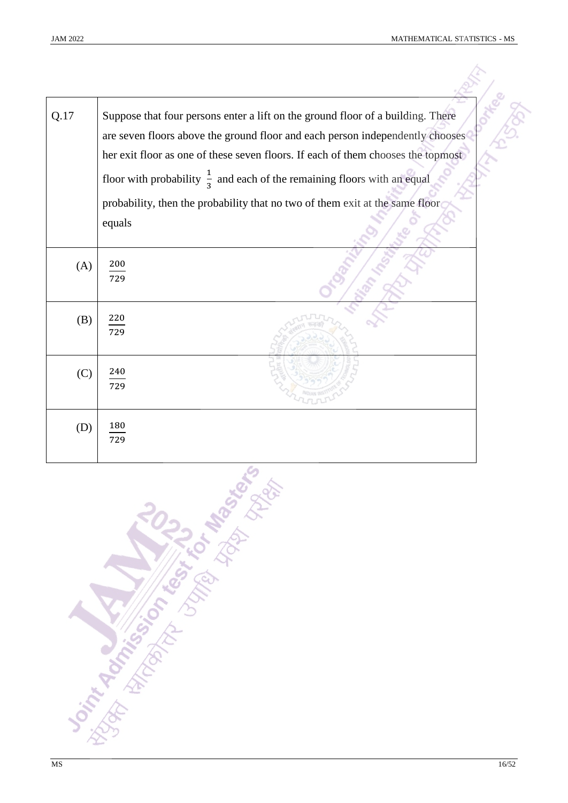| Q.17 | Suppose that four persons enter a lift on the ground floor of a building. There<br>are seven floors above the ground floor and each person independently chooses<br>her exit floor as one of these seven floors. If each of them chooses the topmost |
|------|------------------------------------------------------------------------------------------------------------------------------------------------------------------------------------------------------------------------------------------------------|
|      | floor with probability $\frac{1}{3}$ and each of the remaining floors with an equal                                                                                                                                                                  |
|      | probability, then the probability that no two of them exit at the same floor                                                                                                                                                                         |
|      | equals                                                                                                                                                                                                                                               |
| (A)  | 200<br>729                                                                                                                                                                                                                                           |
| (B)  | $\frac{220}{1}$<br>729                                                                                                                                                                                                                               |
| (C)  | 240<br>729                                                                                                                                                                                                                                           |
| (D)  | 180<br>729                                                                                                                                                                                                                                           |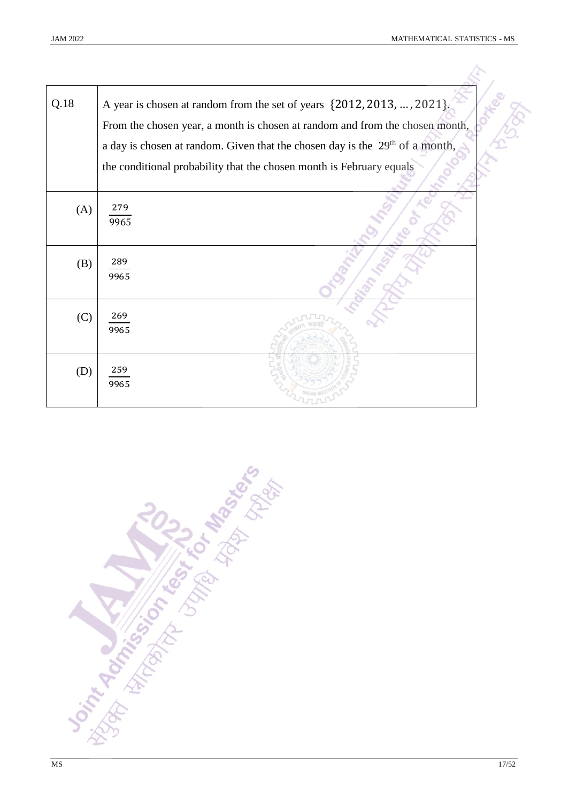| Q.18 | A year is chosen at random from the set of years {2012, 2013, , 2021}.<br>From the chosen year, a month is chosen at random and from the chosen month,<br>a day is chosen at random. Given that the chosen day is the $29th$ of a month,<br>the conditional probability that the chosen month is February equals |  |
|------|------------------------------------------------------------------------------------------------------------------------------------------------------------------------------------------------------------------------------------------------------------------------------------------------------------------|--|
|      |                                                                                                                                                                                                                                                                                                                  |  |
| (A)  | 279<br>9965                                                                                                                                                                                                                                                                                                      |  |
| (B)  | 289<br>9965                                                                                                                                                                                                                                                                                                      |  |
| (C)  | 269<br>9965                                                                                                                                                                                                                                                                                                      |  |
| (D)  | 259<br>9965                                                                                                                                                                                                                                                                                                      |  |

**Joseph Rockinson Construction of the American Sciences**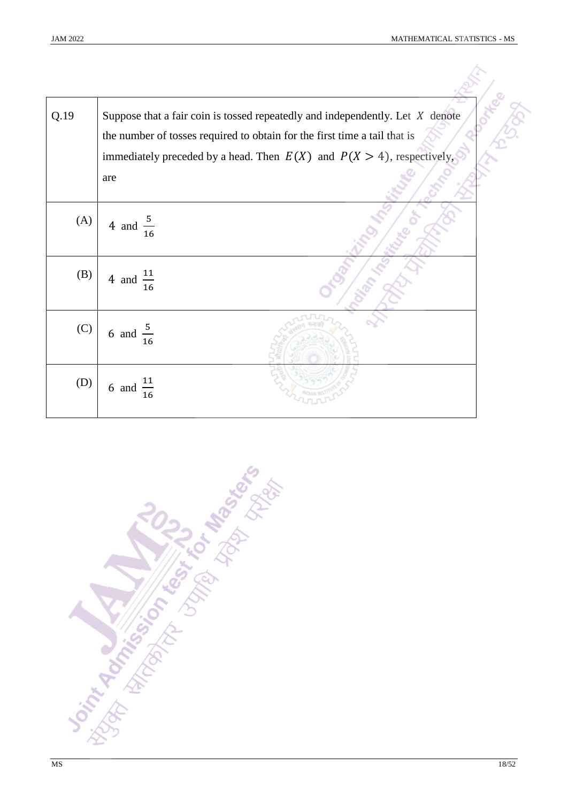| Q.19 | Suppose that a fair coin is tossed repeatedly and independently. Let $X$ denote<br>the number of tosses required to obtain for the first time a tail that is<br>immediately preceded by a head. Then $E(X)$ and $P(X > 4)$ , respectively, |
|------|--------------------------------------------------------------------------------------------------------------------------------------------------------------------------------------------------------------------------------------------|
|      | are                                                                                                                                                                                                                                        |
| (A)  | 4 and $\frac{5}{16}$                                                                                                                                                                                                                       |
| (B)  | 4 and $\frac{11}{16}$                                                                                                                                                                                                                      |
| (C)  | 6 and $\frac{5}{16}$                                                                                                                                                                                                                       |
| (D)  | 6 and $\frac{11}{16}$                                                                                                                                                                                                                      |

**Significant Miles Contractor**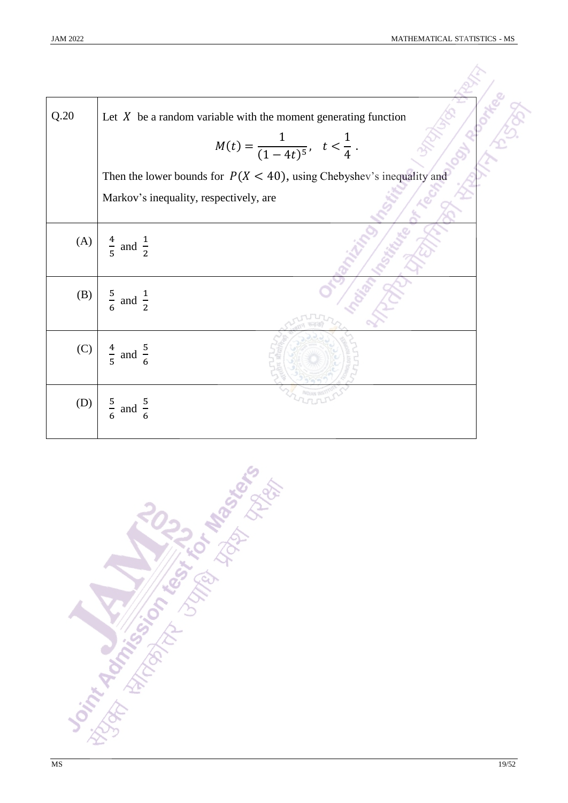| Q.20 | Let $X$ be a random variable with the moment generating function         |  |
|------|--------------------------------------------------------------------------|--|
|      | $M(t) = \frac{1}{(1-4t)^5}, t < \frac{1}{4}.$                            |  |
|      | Then the lower bounds for $P(X < 40)$ , using Chebyshev's inequality and |  |
|      | Markov's inequality, respectively, are                                   |  |
| (A)  | $\frac{4}{5}$ and $\frac{1}{2}$                                          |  |
| (B)  | $rac{5}{6}$ and $rac{1}{2}$                                              |  |
| (C)  | $\frac{4}{5}$ and $\frac{5}{6}$                                          |  |
| (D)  | $\frac{5}{6}$<br>and $\frac{5}{6}$                                       |  |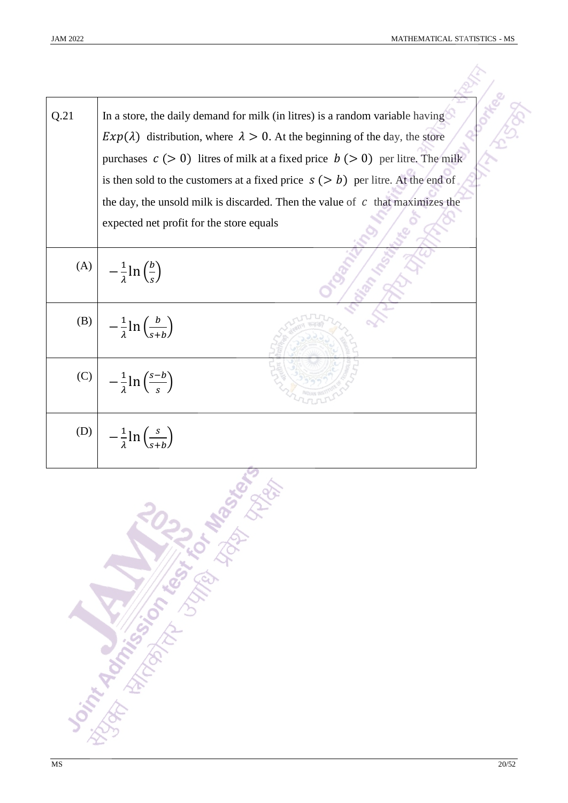| Q.21 | In a store, the daily demand for milk (in litres) is a random variable having<br>$Exp(\lambda)$ distribution, where $\lambda > 0$ . At the beginning of the day, the store<br>purchases $c > 0$ ) litres of milk at a fixed price $b > 0$ ) per litre. The milk |
|------|-----------------------------------------------------------------------------------------------------------------------------------------------------------------------------------------------------------------------------------------------------------------|
|      | is then sold to the customers at a fixed price $s (> b)$ per litre. At the end of                                                                                                                                                                               |
|      | the day, the unsold milk is discarded. Then the value of $c$ that maximizes the                                                                                                                                                                                 |
|      | expected net profit for the store equals                                                                                                                                                                                                                        |
| (A)  | $-\frac{1}{\lambda} \ln \left(\frac{b}{s}\right)$                                                                                                                                                                                                               |
| (B)  | $-\frac{1}{\lambda}\ln\left(\frac{b}{s+h}\right)$                                                                                                                                                                                                               |
| (C)  | $-\frac{1}{\lambda} \ln \left( \frac{s-b}{s} \right)$                                                                                                                                                                                                           |
| (D)  | $-\frac{1}{2}$ ln $\left(\frac{s}{s+h}\right)$                                                                                                                                                                                                                  |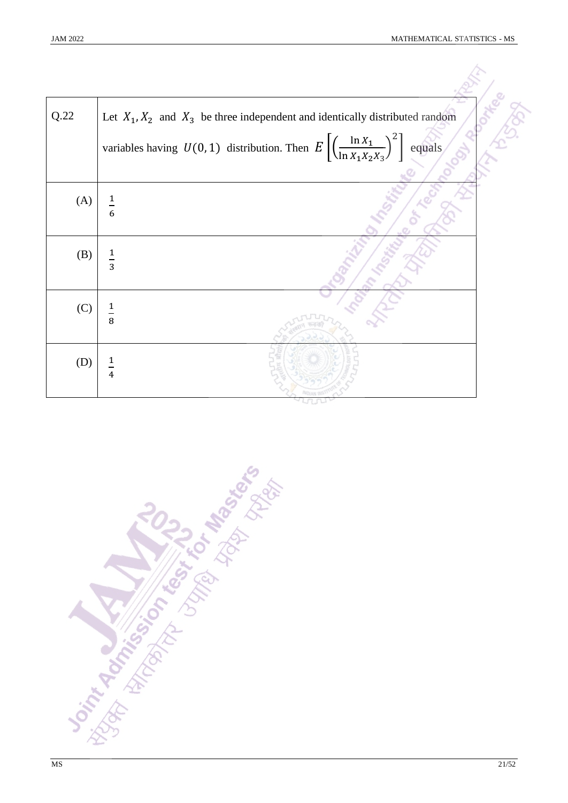| Q.22 | Let $X_1, X_2$ and $X_3$ be three independent and identically distributed random                                    |  |
|------|---------------------------------------------------------------------------------------------------------------------|--|
|      | variables having $U(0, 1)$ distribution. Then $E\left[\left(\frac{\ln X_1}{\ln X_1 X_2 X_3}\right)^2\right]$ equals |  |
| (A)  | $\frac{1}{6}$                                                                                                       |  |
| (B)  | $\frac{1}{3}$                                                                                                       |  |
| (C)  | $\frac{1}{8}$                                                                                                       |  |
| (D)  | $\frac{1}{4}$                                                                                                       |  |

Joseph Andréas De Libres de Marie de Libres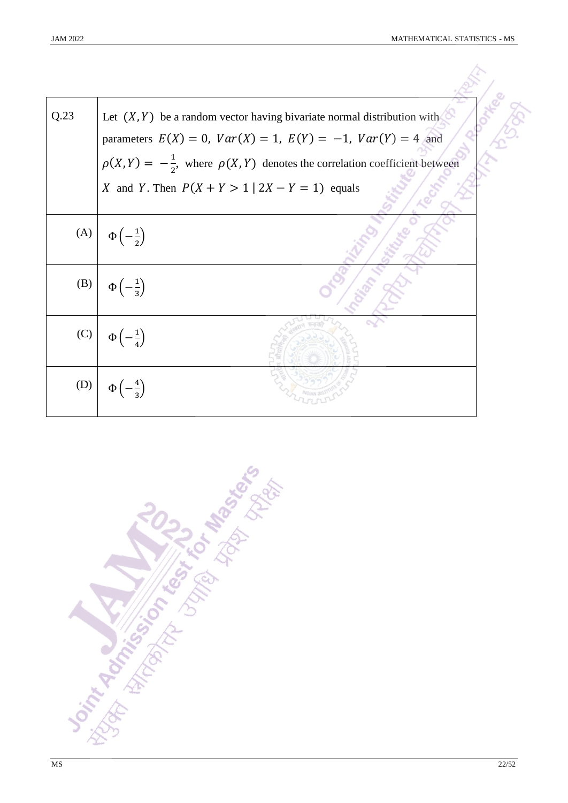| Q.23 | Let $(X, Y)$ be a random vector having bivariate normal distribution with<br>parameters $E(X) = 0$ , $Var(X) = 1$ , $E(Y) = -1$ , $Var(Y) = 4$ and<br>$\rho(X,Y) = -\frac{1}{2}$ , where $\rho(X,Y)$ denotes the correlation coefficient between<br>X and Y. Then $P(X + Y > 1   2X - Y = 1)$ equals |
|------|------------------------------------------------------------------------------------------------------------------------------------------------------------------------------------------------------------------------------------------------------------------------------------------------------|
|      | (A) $\phi\left(-\frac{1}{2}\right)$                                                                                                                                                                                                                                                                  |
|      | (B) $\phi\left(-\frac{1}{3}\right)$                                                                                                                                                                                                                                                                  |
|      | $(C)$ $\Phi\left(-\frac{1}{4}\right)$                                                                                                                                                                                                                                                                |
| (D)  | $\Phi\left(-\frac{4}{3}\right)$                                                                                                                                                                                                                                                                      |

**Joint Addison of the Book Management**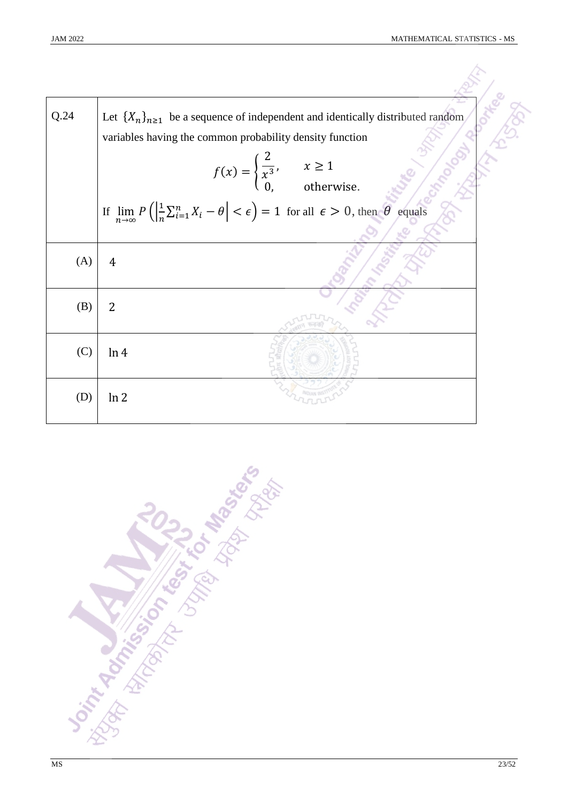| Q.24 | Let $\{X_n\}_{n\geq 1}$ be a sequence of independent and identically distributed random<br>variables having the common probability density function<br>$f(x) = \begin{cases} \frac{2}{x^3}, & x \ge 1 \\ 0, & \text{otherwise.} \end{cases}$<br>If $\lim_{n\to\infty} P\left(\left \frac{1}{n}\sum_{i=1}^{n}X_i-\theta\right <\epsilon\right)=1$ for all $\epsilon>0$ , then $\theta$ equals |  |
|------|----------------------------------------------------------------------------------------------------------------------------------------------------------------------------------------------------------------------------------------------------------------------------------------------------------------------------------------------------------------------------------------------|--|
|      |                                                                                                                                                                                                                                                                                                                                                                                              |  |
| (A)  | $\overline{4}$                                                                                                                                                                                                                                                                                                                                                                               |  |
| (B)  | $\overline{2}$                                                                                                                                                                                                                                                                                                                                                                               |  |
| (C)  | ln 4                                                                                                                                                                                                                                                                                                                                                                                         |  |
| (D)  | ln 2                                                                                                                                                                                                                                                                                                                                                                                         |  |

**The Advisor of Marian Advisor 1**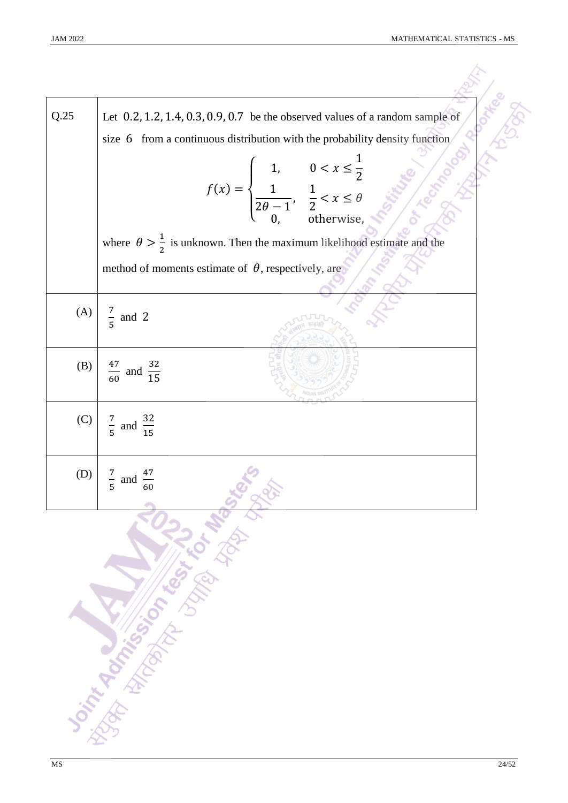| Q.25 | Let $0.2$ , 1.2, 1.4, 0.3, 0.9, 0.7 be the observed values of a random sample of                                                                                                                                                     |
|------|--------------------------------------------------------------------------------------------------------------------------------------------------------------------------------------------------------------------------------------|
|      | size 6 from a continuous distribution with the probability density function                                                                                                                                                          |
|      | $f(x) = \begin{cases} 1, & 0 < x \leq \frac{1}{2} \\ \frac{1}{2\theta - 1}, & \frac{1}{2} < x \leq \theta \\ 0, & \text{otherwise}, \end{cases}$                                                                                     |
|      |                                                                                                                                                                                                                                      |
|      |                                                                                                                                                                                                                                      |
|      | where $\theta > \frac{1}{2}$ is unknown. Then the maximum likelihood estimate and the                                                                                                                                                |
|      | method of moments estimate of $\theta$ , respectively, are                                                                                                                                                                           |
|      |                                                                                                                                                                                                                                      |
| (A)  | $\frac{7}{5}$ and 2                                                                                                                                                                                                                  |
|      |                                                                                                                                                                                                                                      |
| (B)  |                                                                                                                                                                                                                                      |
|      | $\frac{47}{60}$ and $\frac{32}{15}$                                                                                                                                                                                                  |
|      |                                                                                                                                                                                                                                      |
|      | (C) $\begin{array}{ c c } \hline 7 & \text{and} & \frac{32}{15} \\ \hline 5 & \text{and} & \frac{32}{15} \\ \hline \end{array}$                                                                                                      |
|      |                                                                                                                                                                                                                                      |
| (D)  | $\frac{7}{5}$ and                                                                                                                                                                                                                    |
|      |                                                                                                                                                                                                                                      |
|      | <b>Joint Marian School Property of the Company of Company of the Company of the Company of the Company of the Company of the Company of the Company of the Company of the Company of the Company of the Company of the Company o</b> |
|      |                                                                                                                                                                                                                                      |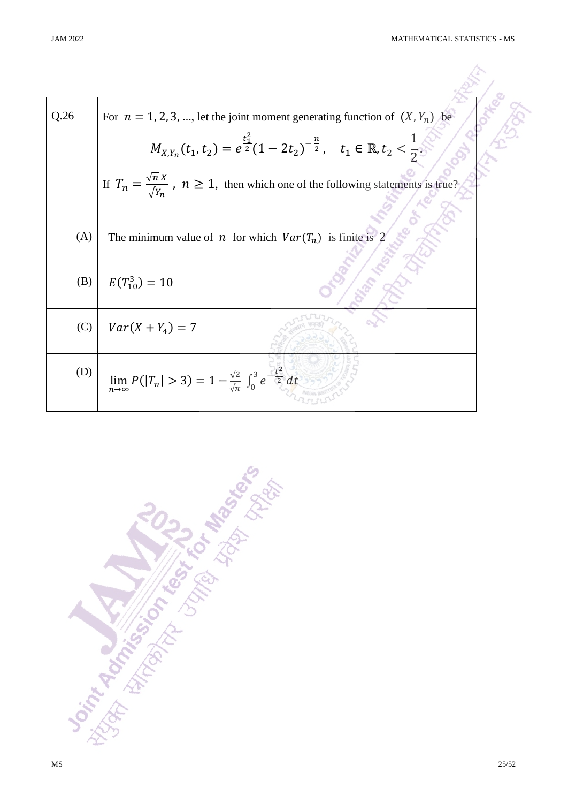| Q.26 | For $n = 1, 2, 3, $ , let the joint moment generating function of $(X, Y_n)$ be                                |  |
|------|----------------------------------------------------------------------------------------------------------------|--|
|      | $M_{X,Y_n}(t_1,t_2) = e^{\frac{t_1^2}{2}}(1-2t_2)^{-\frac{n}{2}}, \quad t_1 \in \mathbb{R}, t_2 < \frac{1}{2}$ |  |
|      | If $T_n = \frac{\sqrt{n} X}{\sqrt{Y_n}}$ , $n \ge 1$ , then which one of the following statements is true?     |  |
| (A)  | The minimum value of <i>n</i> for which $Var(T_n)$ is finite is 2                                              |  |
| (B)  | $E(T_{10}^3) = 10$                                                                                             |  |
| (C)  | $Var(X + Y_{4}) = 7$                                                                                           |  |
| (D)  | $\lim_{n\to\infty} P( T_n  > 3) = 1 - \frac{\sqrt{2}}{\sqrt{\pi}} \int_0^3 e^{-\frac{t^2}{2}} dt$              |  |

**Joint Addition on the Science of Management**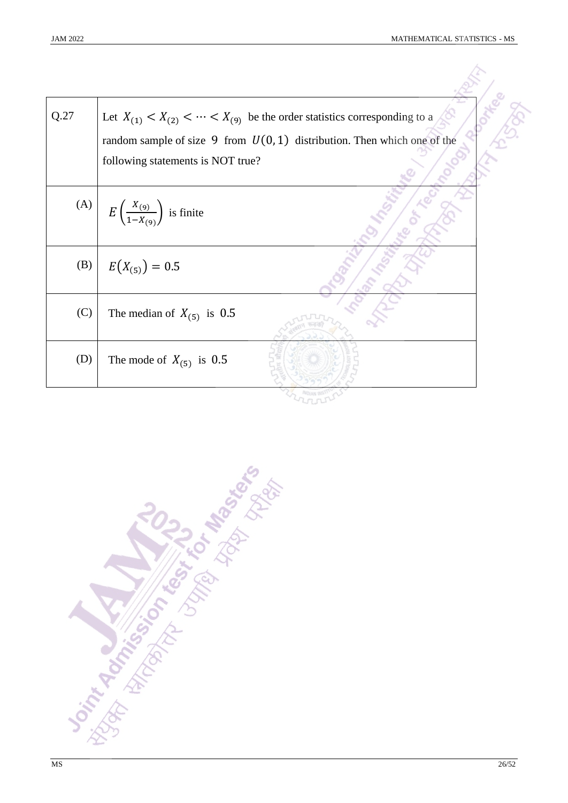| Q.27 | Let $X_{(1)} < X_{(2)} < \cdots < X_{(9)}$ be the order statistics corresponding to a<br>random sample of size 9 from $U(0, 1)$ distribution. Then which one of the |
|------|---------------------------------------------------------------------------------------------------------------------------------------------------------------------|
|      | following statements is NOT true?                                                                                                                                   |
|      | (A) $E\left(\frac{X_{(9)}}{1-X_{(9)}}\right)$ is finite                                                                                                             |
| (B)  | $E(X_{(5)}) = 0.5$                                                                                                                                                  |
| (C)  | The median of $X_{(5)}$ is 0.5                                                                                                                                      |
| (D)  | The mode of $X_{(5)}$ is 0.5                                                                                                                                        |
|      |                                                                                                                                                                     |

**Joseph Rock Property of the Manufacture River Comparison Comparison Comparison Comparison Comparison Comparison**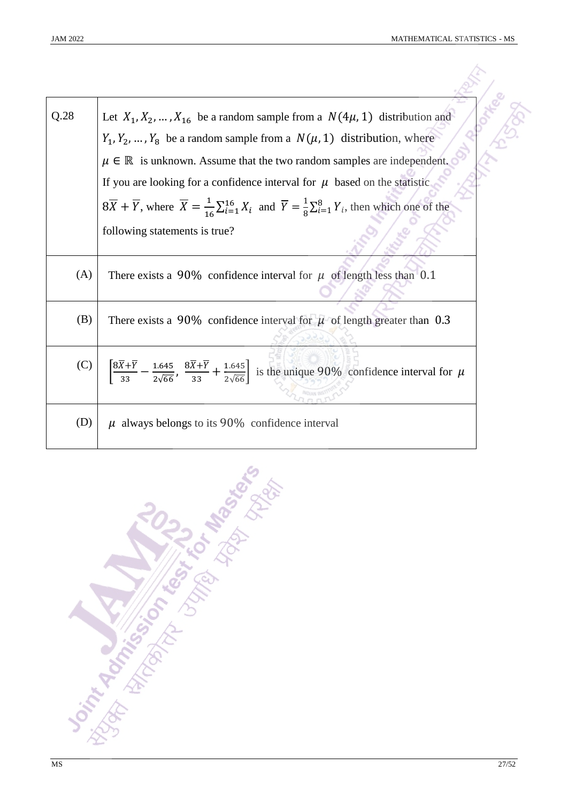| Q.28 | Let $X_1, X_2, , X_{16}$ be a random sample from a $N(4\mu, 1)$ distribution and                                                                                                              |
|------|-----------------------------------------------------------------------------------------------------------------------------------------------------------------------------------------------|
|      | $Y_1, Y_2, , Y_8$ be a random sample from a $N(\mu, 1)$ distribution, where                                                                                                                   |
|      | $\mu \in \mathbb{R}$ is unknown. Assume that the two random samples are independent.                                                                                                          |
|      | If you are looking for a confidence interval for $\mu$ based on the statistic                                                                                                                 |
|      | $8\overline{X} + \overline{Y}$ , where $\overline{X} = \frac{1}{16} \sum_{i=1}^{16} X_i$ and $\overline{Y} = \frac{1}{8} \sum_{i=1}^{8} Y_i$ , then which one of the                          |
|      | following statements is true?                                                                                                                                                                 |
| (A)  | There exists a 90% confidence interval for $\mu$ of length less than 0.1                                                                                                                      |
| (B)  | There exists a 90% confidence interval for $\mu$ of length greater than 0.3                                                                                                                   |
| (C)  | $\left[\frac{8\overline{X}+\overline{Y}}{33}-\frac{1.645}{2\sqrt{66}}, \frac{8\overline{X}+\overline{Y}}{33}+\frac{1.645}{2\sqrt{66}}\right]$ is the unique 90% confidence interval for $\mu$ |
| (D)  | $\mu$ always belongs to its 90% confidence interval                                                                                                                                           |

**SIT ROAD STAIRS TO BELLE BELLE SERVING TO CONFIDENCE**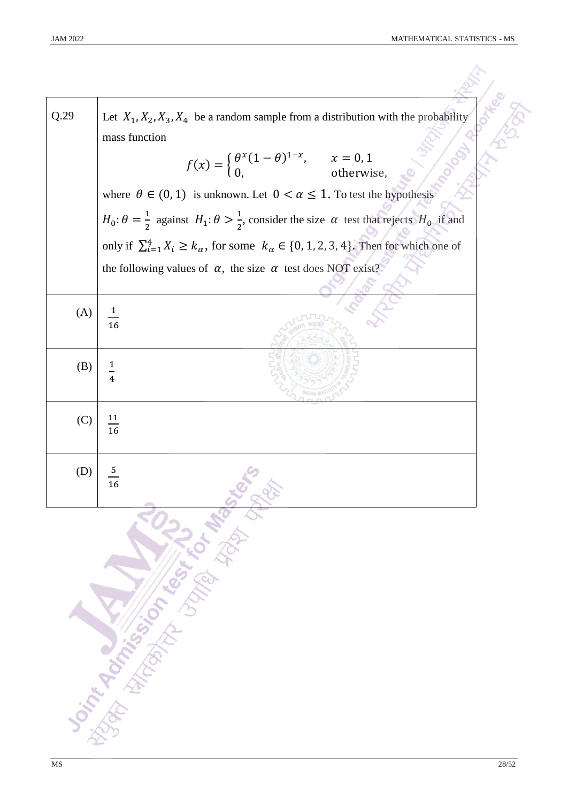| Q.29 | Let $X_1, X_2, X_3, X_4$ be a random sample from a distribution with the probability                                        |  |  |
|------|-----------------------------------------------------------------------------------------------------------------------------|--|--|
|      | mass function<br>$f(x) = \begin{cases} \theta^{x}(1-\theta)^{1-x}, & x = 0,1 \\ 0, & \text{otherwise}, \end{cases}$         |  |  |
|      | where $\theta \in (0, 1)$ is unknown. Let $0 < \alpha \leq 1$ . To test the hypothesis                                      |  |  |
|      | $H_0: \theta = \frac{1}{2}$ against $H_1: \theta > \frac{1}{2}$ , consider the size $\alpha$ test that rejects $H_0$ if and |  |  |
|      | only if $\sum_{i=1}^{4} X_i \ge k_\alpha$ , for some $k_\alpha \in \{0, 1, 2, 3, 4\}$ . Then for which one of               |  |  |
|      | the following values of $\alpha$ , the size $\alpha$ test does NOT exist?                                                   |  |  |
| (A)  | $\frac{1}{16}$                                                                                                              |  |  |
|      |                                                                                                                             |  |  |
| (B)  | $\overline{1}$                                                                                                              |  |  |
| (C)  | $\frac{11}{16}$                                                                                                             |  |  |
| (D)  | $\frac{5}{2}$<br>16                                                                                                         |  |  |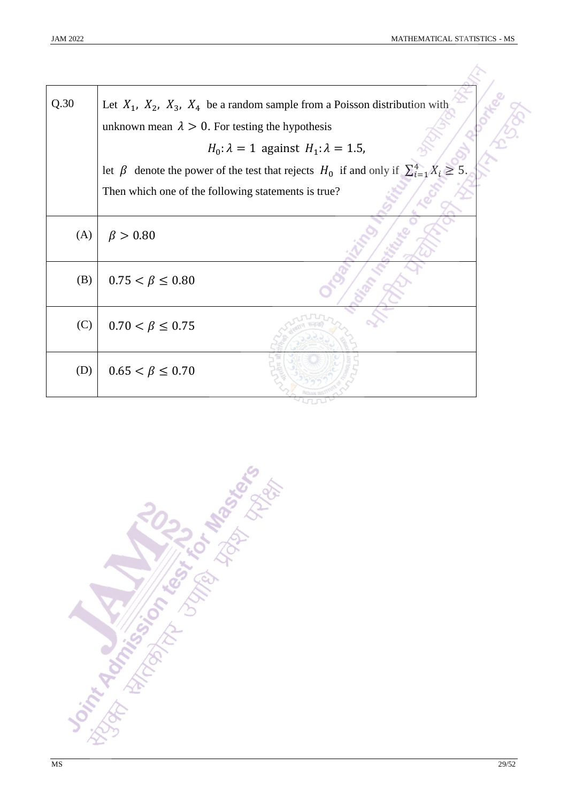| Q.30 | Let $X_1$ , $X_2$ , $X_3$ , $X_4$ be a random sample from a Poisson distribution with<br>unknown mean $\lambda > 0$ . For testing the hypothesis |  |
|------|--------------------------------------------------------------------------------------------------------------------------------------------------|--|
|      | $H_0$ : $\lambda = 1$ against $H_1$ : $\lambda = 1.5$ ,                                                                                          |  |
|      | let $\beta$ denote the power of the test that rejects $H_0$ if and only if $\sum_{i=1}^{4} X_i \ge 5$                                            |  |
|      | Then which one of the following statements is true?                                                                                              |  |
| (A)  | $\beta > 0.80$                                                                                                                                   |  |
| (B)  | $0.75 < \beta \leq 0.80$                                                                                                                         |  |
| (C)  | $0.70 < \beta \leq 0.75$                                                                                                                         |  |
| (D)  | $0.65 < \beta \leq 0.70$                                                                                                                         |  |

**Doint Montgomery Management**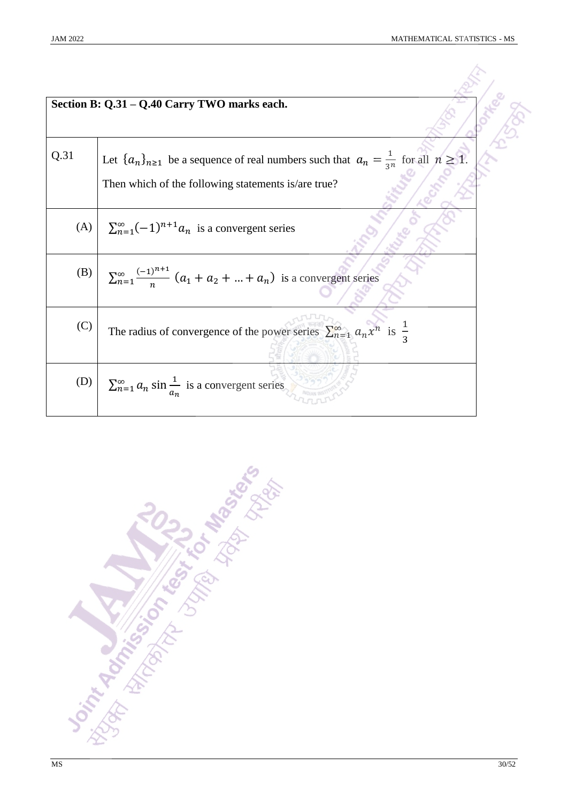|      | Section B: Q.31 - Q.40 Carry TWO marks each.                                                               |  |
|------|------------------------------------------------------------------------------------------------------------|--|
| Q.31 | Let $\{a_n\}_{n\geq 1}$ be a sequence of real numbers such that $a_n = \frac{1}{3^n}$ for all $n \geq 1$ . |  |
|      | Then which of the following statements is/are true?                                                        |  |
| (A)  | $\sum_{n=1}^{\infty} (-1)^{n+1} a_n$ is a convergent series                                                |  |
| (B)  | $\sum_{n=1}^{\infty} \frac{(-1)^{n+1}}{n} (a_1 + a_2 +  + a_n)$ is a convergent series                     |  |
| (C)  | The radius of convergence of the power series $\sum_{n=1}^{\infty} a_n x^n$ is $\frac{1}{3}$               |  |
| (D)  | $\sum_{n=1}^{\infty} a_n \sin \frac{1}{a_n}$ is a convergent series                                        |  |

**Don't Additional Management of the Management of the Contractor**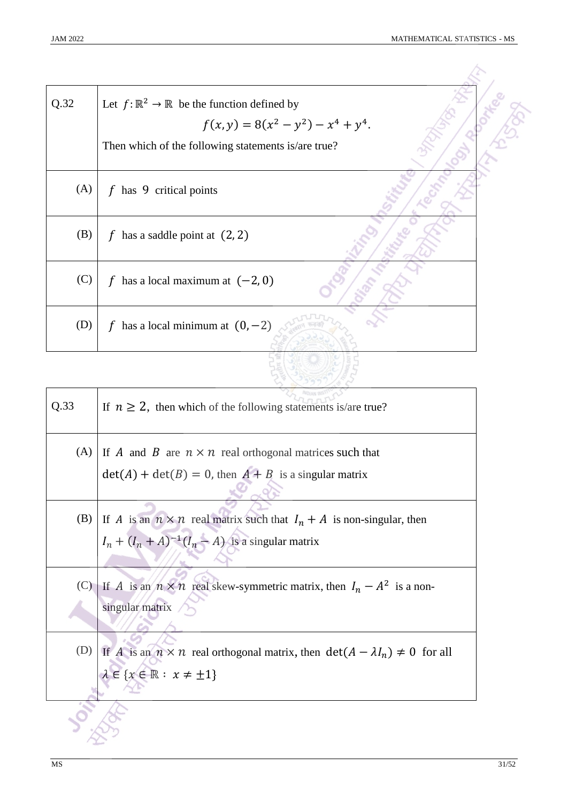| Q.32 | Let $f: \mathbb{R}^2 \to \mathbb{R}$ be the function defined by |
|------|-----------------------------------------------------------------|
|      | $f(x, y) = 8(x^{2} - y^{2}) - x^{4} + y^{4}$ .                  |
|      | Then which of the following statements is/are true?             |
| (A)  | $f$ has 9 critical points                                       |
| (B)  | has a saddle point at $(2, 2)$<br>f                             |
| (C)  | has a local maximum at $(-2, 0)$<br>f                           |
| (D)  | has a local minimum at $(0, -2)$<br>f                           |
|      |                                                                 |

| Q.33 | If $n \geq 2$ , then which of the following statements is/are true?                                                                                 |
|------|-----------------------------------------------------------------------------------------------------------------------------------------------------|
| (A)  | If A and B are $n \times n$ real orthogonal matrices such that                                                                                      |
|      | $\det(A) + \det(B) = 0$ , then $A + B$ is a singular matrix                                                                                         |
|      | (B) If A is an $n \times n$ real matrix such that $I_n + A$ is non-singular, then                                                                   |
|      | $I_n + (I_n + A)^{-1}(I_n - A)$ is a singular matrix                                                                                                |
|      | (C) If A is an $n \times n$ real skew-symmetric matrix, then $I_n - A^2$ is a non-<br>singular matrix                                               |
|      | (D) If A is an $n \times n$ real orthogonal matrix, then $det(A - \lambda I_n) \neq 0$ for all<br>$\lambda \in \{x \in \mathbb{R} : x \neq \pm 1\}$ |
|      |                                                                                                                                                     |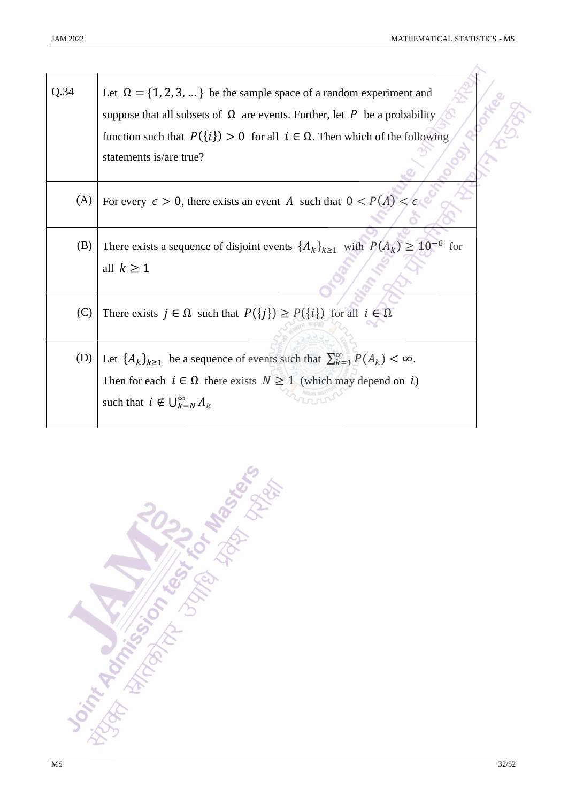| Q.34 | Let $\Omega = \{1, 2, 3, \}$ be the sample space of a random experiment and                       |  |
|------|---------------------------------------------------------------------------------------------------|--|
|      | suppose that all subsets of $\Omega$ are events. Further, let P be a probability                  |  |
|      | function such that $P({i}) > 0$ for all $i \in \Omega$ . Then which of the following              |  |
|      | statements is/are true?                                                                           |  |
|      |                                                                                                   |  |
| (A)  | For every $\epsilon > 0$ , there exists an event A such that $0 < P(A) < \epsilon$                |  |
| (B)  | There exists a sequence of disjoint events $\{A_k\}_{k\geq 1}$ with $P(A_k) \geq 10^{-6}$ for     |  |
|      |                                                                                                   |  |
|      | all $k \geq 1$                                                                                    |  |
| (C)  | There exists $j \in \Omega$ such that $P({j}) \ge P({i})$ for all $i \in \Omega$                  |  |
|      |                                                                                                   |  |
|      |                                                                                                   |  |
| (D)  | Let $\{A_k\}_{k\geq 1}$ be a sequence of events such that $\sum_{k=1}^{\infty} P(A_k) < \infty$ . |  |
|      | Then for each $i \in \Omega$ there exists $N \ge 1$ (which may depend on i)                       |  |
|      | such that $i \notin \bigcup_{k=N}^{\infty} A_k$                                                   |  |
|      |                                                                                                   |  |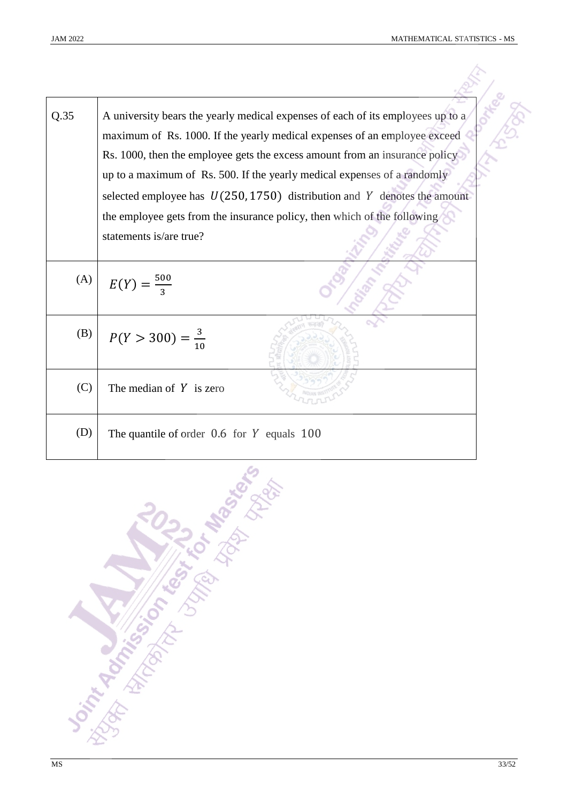| <b>JAM 2022</b> | MATHEMATICAL STATISTICS - MS                                                                                                                                                                                                                |  |
|-----------------|---------------------------------------------------------------------------------------------------------------------------------------------------------------------------------------------------------------------------------------------|--|
| Q.35            | A university bears the yearly medical expenses of each of its employees up to a<br>maximum of Rs. 1000. If the yearly medical expenses of an employee exceed<br>Rs. 1000, then the employee gets the excess amount from an insurance policy |  |
|                 | up to a maximum of Rs. 500. If the yearly medical expenses of a randomly                                                                                                                                                                    |  |
|                 | selected employee has $U(250, 1750)$ distribution and Y denotes the amount                                                                                                                                                                  |  |
|                 | the employee gets from the insurance policy, then which of the following                                                                                                                                                                    |  |
|                 | statements is/are true?                                                                                                                                                                                                                     |  |
| (A)             | $E(Y) = \frac{500}{3}$                                                                                                                                                                                                                      |  |
| (B)             | $P(Y > 300) = \frac{3}{10}$                                                                                                                                                                                                                 |  |
| (C)             | The median of $Y$ is zero                                                                                                                                                                                                                   |  |
| (D)             | The quantile of order $0.6$ for Y equals $100$                                                                                                                                                                                              |  |

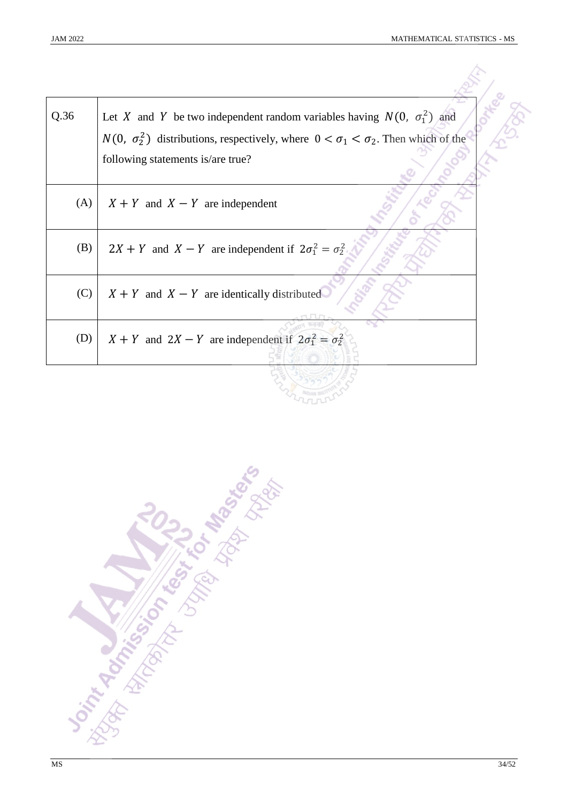| Q.36 | Let X and Y be two independent random variables having $N(0, \sigma_1^2)$ and                       |  |
|------|-----------------------------------------------------------------------------------------------------|--|
|      | $N(0, \sigma_2^2)$ distributions, respectively, where $0 < \sigma_1 < \sigma_2$ . Then which of the |  |
|      | following statements is/are true?                                                                   |  |
| (A)  | $X + Y$ and $X - Y$ are independent                                                                 |  |
| (B)  | $2X + Y$ and $X - Y$ are independent if $2\sigma_1^2 = \sigma_2^2$                                  |  |
| (C)  | $X + Y$ and $X - Y$ are identically distributed                                                     |  |
| (D)  | $X + Y$ and $2X - Y$ are independent if $2\sigma_1^2 = \sigma_2^2$                                  |  |
|      |                                                                                                     |  |

Distribution of the Manufacture of the State of the Manufacture of the Manufacture of the Manufacture of the Ma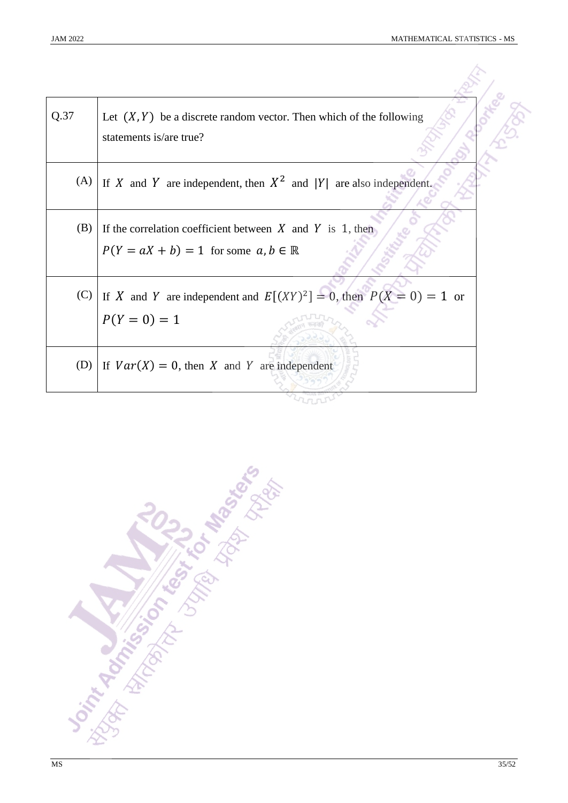| Q.37 | Let $(X, Y)$ be a discrete random vector. Then which of the following<br>statements is/are true?                    |  |
|------|---------------------------------------------------------------------------------------------------------------------|--|
| (A)  | If X and Y are independent, then $X^2$ and  Y  are also independent.                                                |  |
| (B)  | If the correlation coefficient between $X$ and $Y$ is 1, then<br>$P(Y = aX + b) = 1$ for some $a, b \in \mathbb{R}$ |  |
| (C)  | If X and Y are independent and $E[(XY)^2] = 0$ , then $P(X = 0) = 1$ or<br>$P(Y = 0) = 1$                           |  |
| (D)  | If $Var(X) = 0$ , then X and Y are independent                                                                      |  |
|      |                                                                                                                     |  |

**Don't Rock of Contract of Manufactures**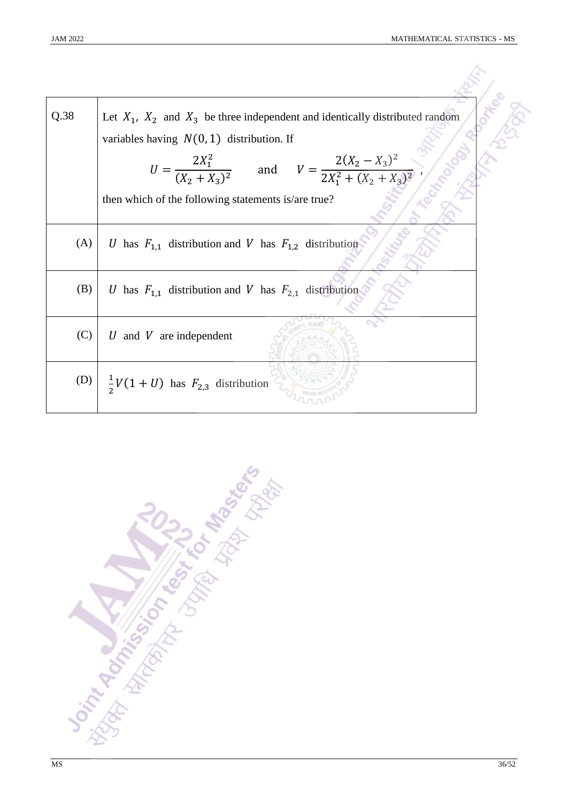| Q.38 | Let $X_1$ , $X_2$ and $X_3$ be three independent and identically distributed random<br>variables having $N(0, 1)$ distribution. If |
|------|------------------------------------------------------------------------------------------------------------------------------------|
|      | $U = \frac{2X_1^2}{(X_2 + X_3)^2}$ and $V = \frac{2(X_2 - X_3)^2}{2X_1^2 + (X_2 + X_3)^2}$                                         |
|      | then which of the following statements is/are true?                                                                                |
| (A)  | U has $F_{1,1}$ distribution and V has $F_{1,2}$ distribution                                                                      |
| (B)  | U has $F_{1,1}$ distribution and V has $F_{2,1}$ distribution                                                                      |
| (C)  | U and V are independent                                                                                                            |
|      | (D) $\frac{1}{2}V(1+U)$ has $F_{2,3}$ distribution                                                                                 |

**Joint Addition on the Science of Management**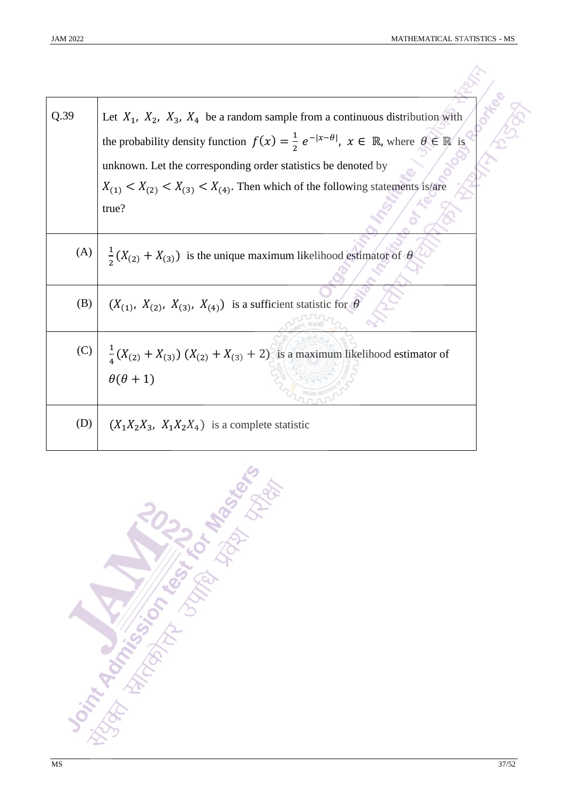| Q.39 | Let $X_1$ , $X_2$ , $X_3$ , $X_4$ be a random sample from a continuous distribution with<br>the probability density function $f(x) = \frac{1}{2} e^{- x-\theta }$ , $x \in \mathbb{R}$ , where $\theta \in \mathbb{R}$ is |
|------|---------------------------------------------------------------------------------------------------------------------------------------------------------------------------------------------------------------------------|
|      |                                                                                                                                                                                                                           |
|      | unknown. Let the corresponding order statistics be denoted by                                                                                                                                                             |
|      | $X_{(1)} < X_{(2)} < X_{(3)} < X_{(4)}$ . Then which of the following statements is/are                                                                                                                                   |
|      | true?                                                                                                                                                                                                                     |
|      | (A) $\frac{1}{2}(X_{(2)} + X_{(3)})$ is the unique maximum likelihood estimator of $\theta$                                                                                                                               |
| (B)  | $(X_{(1)}, X_{(2)}, X_{(3)}, X_{(4)})$ is a sufficient statistic for $\theta$                                                                                                                                             |
|      | (C) $\frac{1}{4}(X_{(2)} + X_{(3)}) (X_{(2)} + X_{(3)} + 2)$ is a maximum likelihood estimator of                                                                                                                         |
|      | $\theta(\theta+1)$                                                                                                                                                                                                        |
| (D)  | $(X_1X_2X_3, X_1X_2X_4)$ is a complete statistic                                                                                                                                                                          |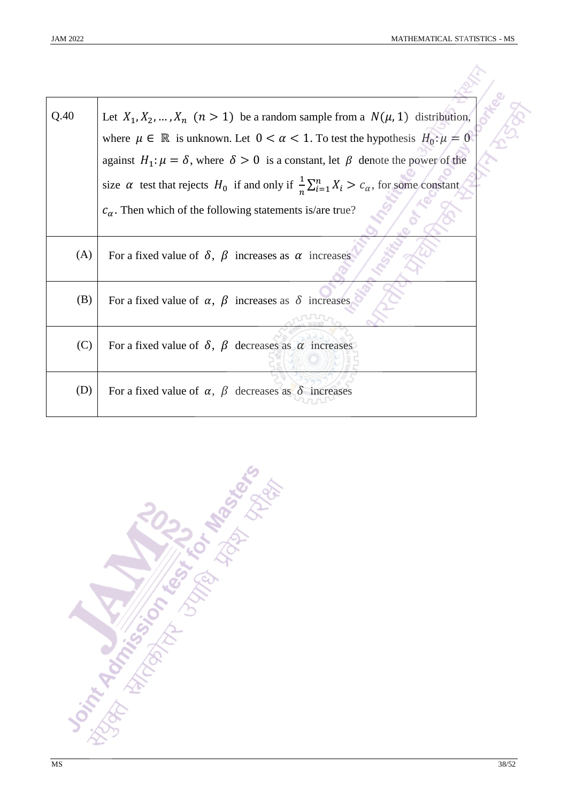| Q.40 | Let $X_1, X_2, , X_n$ $(n > 1)$ be a random sample from a $N(\mu, 1)$ distribution,                               |  |
|------|-------------------------------------------------------------------------------------------------------------------|--|
|      | where $\mu \in \mathbb{R}$ is unknown. Let $0 < \alpha < 1$ . To test the hypothesis $H_0: \mu = 0$               |  |
|      | against $H_1: \mu = \delta$ , where $\delta > 0$ is a constant, let $\beta$ denote the power of the               |  |
|      | size $\alpha$ test that rejects $H_0$ if and only if $\frac{1}{n}\sum_{i=1}^n X_i > c_\alpha$ , for some constant |  |
|      | $c_{\alpha}$ . Then which of the following statements is/are true?                                                |  |
| (A)  | For a fixed value of $\delta$ , $\beta$ increases as $\alpha$ increases                                           |  |
| (B)  | For a fixed value of $\alpha$ , $\beta$ increases as $\delta$ increases                                           |  |
| (C)  | For a fixed value of $\delta$ , $\beta$ decreases as $\alpha$ increases                                           |  |
| (D)  | For a fixed value of $\alpha$ , $\beta$ decreases as $\delta$ increases                                           |  |

**Soint Action of the Book Management**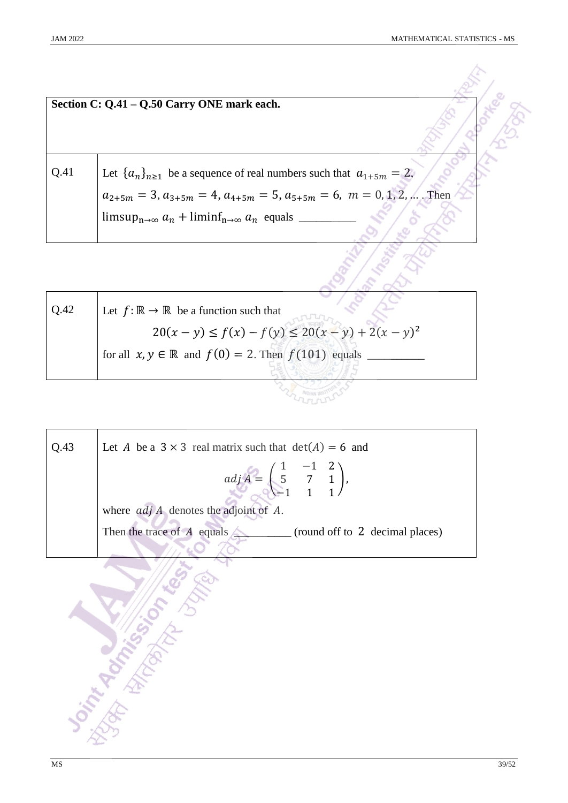|      | Section C: Q.41 – Q.50 Carry ONE mark each.                                              |  |
|------|------------------------------------------------------------------------------------------|--|
|      |                                                                                          |  |
| Q.41 | Let $\{a_n\}_{n\geq 1}$ be a sequence of real numbers such that $a_{1+5m} = 2$ ,         |  |
|      | $a_{2+5m} = 3$ , $a_{3+5m} = 4$ , $a_{4+5m} = 5$ , $a_{5+5m} = 6$ , $m = 0, 1, 2, $ Then |  |
|      | $\limsup_{n\to\infty} a_n + \liminf_{n\to\infty} a_n$ equals _                           |  |
|      |                                                                                          |  |

| Q.42 | Let $f: \mathbb{R} \to \mathbb{R}$ be a function such that          |
|------|---------------------------------------------------------------------|
|      | $20(x - y) \le f(x) - f(y) \le 20(x - y) + 2(x - y)^2$              |
|      | for all $x, y \in \mathbb{R}$ and $f(0) = 2$ . Then $f(101)$ equals |
|      |                                                                     |
|      |                                                                     |

| Let A be a $3 \times 3$ real matrix such that $det(A) = 6$ and                                      |
|-----------------------------------------------------------------------------------------------------|
| $adj A = \begin{pmatrix} 1 & -1 & 2 \\ 5 & 7 & 1 \\ -1 & 1 & 1 \end{pmatrix},$                      |
| where $adj A$ denotes the adjoint of $A$ .                                                          |
| Then the trace of $\overline{A}$ equals $\overline{\phantom{A}}$<br>(round off to 2 decimal places) |
|                                                                                                     |
|                                                                                                     |
|                                                                                                     |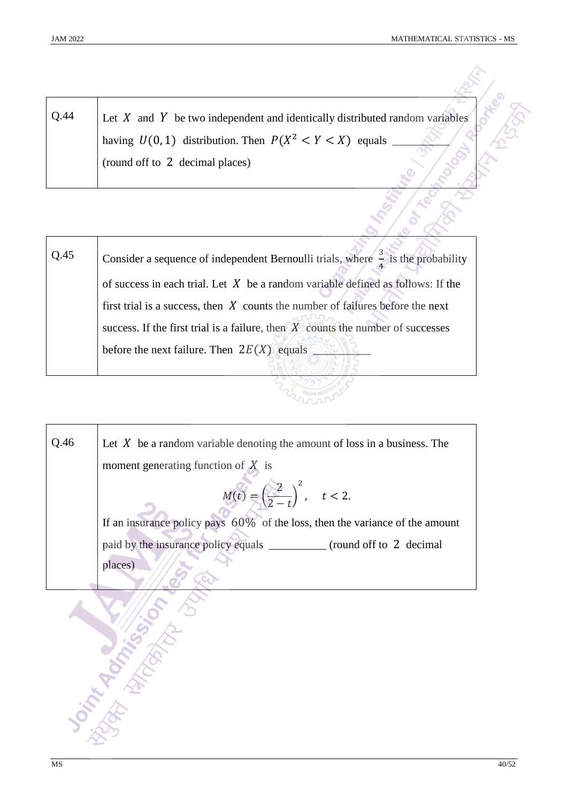| Q.44 | Let $X$ and $Y$ be two independent and identically distributed random variables |
|------|---------------------------------------------------------------------------------|
|      | having $U(0, 1)$ distribution. Then $P(X^2 < Y < X)$ equals                     |
|      | (round off to 2 decimal places)                                                 |
|      |                                                                                 |
|      |                                                                                 |
|      |                                                                                 |

| Q.45 | Consider a sequence of independent Bernoulli trials, where $\frac{3}{7}$ is the probability |
|------|---------------------------------------------------------------------------------------------|
|      | of success in each trial. Let $X$ be a random variable defined as follows: If the           |
|      | first trial is a success, then $X$ counts the number of failures before the next            |
|      | success. If the first trial is a failure, then $X$ counts the number of successes           |
|      | before the next failure. Then $2E(X)$ equals                                                |
|      |                                                                                             |

LATTLE

| Q.46 | Let $X$ be a random variable denoting the amount of loss in a business. The<br>moment generating function of $X$ is |
|------|---------------------------------------------------------------------------------------------------------------------|
|      | $M(t) = \left(\frac{2}{2-t}\right)^2, \quad t < 2.$                                                                 |
|      | If an insurance policy pays $60\%$ of the loss, then the variance of the amount                                     |
|      | paid by the insurance policy equals __________ (round off to 2 decimal                                              |
|      | places)                                                                                                             |
|      |                                                                                                                     |
|      |                                                                                                                     |
|      |                                                                                                                     |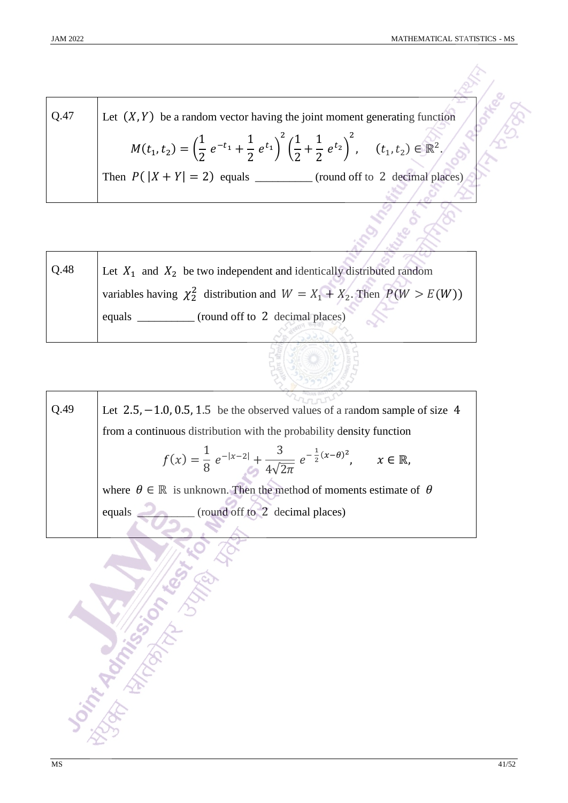$\overline{1}$ 

 $\mathbb{R}^2$ 

| Q.47 | Let $(X, Y)$ be a random vector having the joint moment generating function                                                                                  |  |
|------|--------------------------------------------------------------------------------------------------------------------------------------------------------------|--|
|      | $M(t_1, t_2) = \left(\frac{1}{2} e^{-t_1} + \frac{1}{2} e^{t_1}\right)^2 \left(\frac{1}{2} + \frac{1}{2} e^{t_2}\right)^2$ , $(t_1, t_2) \in \mathbb{R}^2$ . |  |
|      | (round off to 2 decimal places)                                                                                                                              |  |
|      |                                                                                                                                                              |  |

| Q.48 | Let $X_1$ and $X_2$ be two independent and identically distributed random       |
|------|---------------------------------------------------------------------------------|
|      | variables having $\chi^2$ distribution and $W = X_1 + X_2$ . Then $P(W > E(W))$ |
|      | (round off to 2 decimal places)<br>equals                                       |

| Q.49 | Let $2.5, -1.0, 0.5, 1.5$ be the observed values of a random sample of size 4                                  |  |  |  |  |  |  |  |  |
|------|----------------------------------------------------------------------------------------------------------------|--|--|--|--|--|--|--|--|
|      | from a continuous distribution with the probability density function                                           |  |  |  |  |  |  |  |  |
|      | $f(x) = \frac{1}{8} e^{- x-2 } + \frac{3}{4\sqrt{2\pi}} e^{-\frac{1}{2}(x-\theta)^2}, \quad x \in \mathbb{R},$ |  |  |  |  |  |  |  |  |
|      | where $\theta \in \mathbb{R}$ is unknown. Then the method of moments estimate of $\theta$                      |  |  |  |  |  |  |  |  |
|      | (round off to 2 decimal places)<br>equals                                                                      |  |  |  |  |  |  |  |  |
|      |                                                                                                                |  |  |  |  |  |  |  |  |
|      |                                                                                                                |  |  |  |  |  |  |  |  |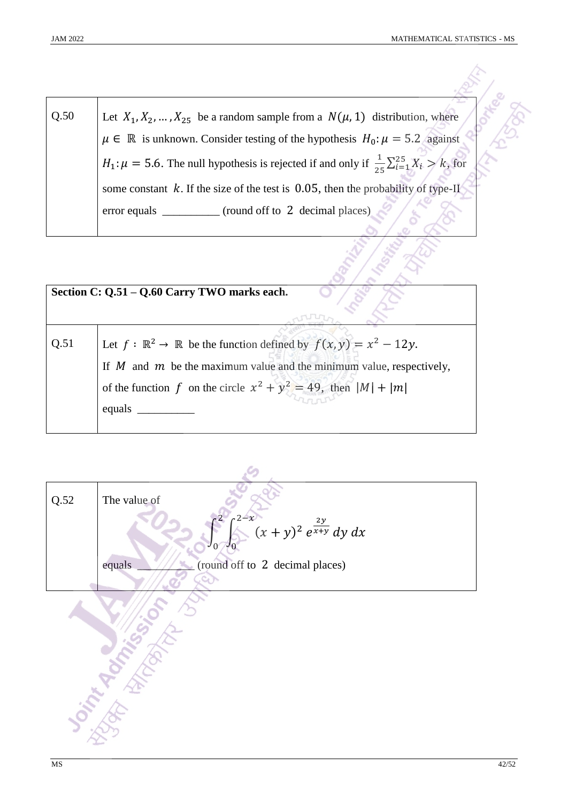Q.50 Let  $X_1, X_2, ..., X_{25}$  be a random sample from a  $N(\mu, 1)$  distribution, where  $\mu \in \mathbb{R}$  is unknown. Consider testing of the hypothesis  $H_0: \mu = 5.2$  against  $H_1: \mu = 5.6$ . The null hypothesis is rejected if and only if  $\frac{1}{25} \sum_{i=1}^{25} X_i > k$  $_{i=1}^{25} X_i > k$ , for some constant  $k$ . If the size of the test is 0.05, then the probability of type-II error equals \_\_\_\_\_\_\_\_\_\_ (round off to 2 decimal places)

|      | Section C: Q.51 - Q.60 Carry TWO marks each.                                                                                                                                                                                                         |
|------|------------------------------------------------------------------------------------------------------------------------------------------------------------------------------------------------------------------------------------------------------|
| Q.51 | Let $f: \mathbb{R}^2 \to \mathbb{R}$ be the function defined by $f(x, y) = x^2 - 12y$ .<br>If $M$ and $m$ be the maximum value and the minimum value, respectively,<br>of the function f on the circle $x^2 + y^2 = 49$ , then $ M  +  m $<br>equals |

| $Q.52$ | The value of                                                          |
|--------|-----------------------------------------------------------------------|
|        | $\int_{0}^{2-x} (x+y)^2 e^{\frac{2y}{x+y}} dy dx$<br>$J_0$<br>$J_{0}$ |
|        | (round off to 2 decimal places)<br>equals                             |
|        |                                                                       |
|        |                                                                       |
|        |                                                                       |
|        |                                                                       |
|        |                                                                       |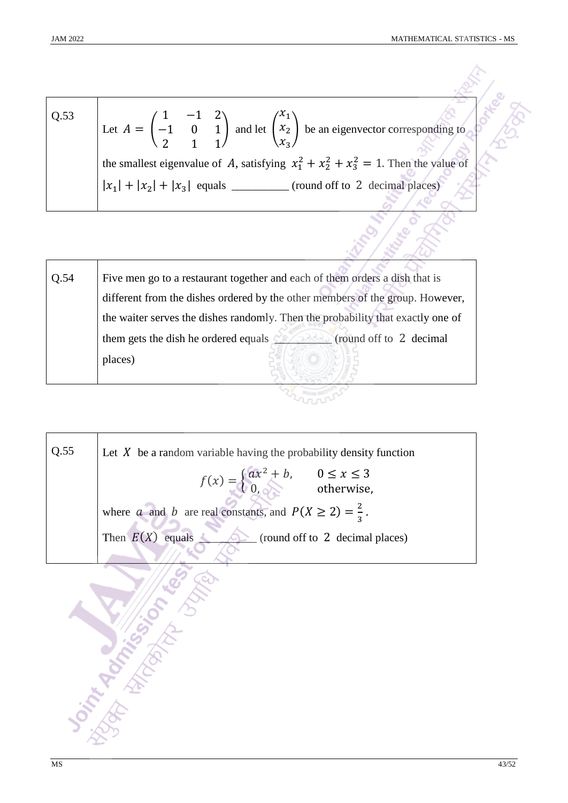| Q.53 | Let $A = \begin{pmatrix} 1 & -1 & 2 \\ -1 & 0 & 1 \\ 2 & 1 & 1 \end{pmatrix}$ and let $\begin{pmatrix} x_1 \\ x_2 \\ x_3 \end{pmatrix}$ be an eigenvector corresponding to |
|------|----------------------------------------------------------------------------------------------------------------------------------------------------------------------------|
|      | the smallest eigenvalue of A, satisfying $x_1^2 + x_2^2 + x_3^2 = 1$ . Then the value of                                                                                   |
|      | (round off to 2 decimal places)                                                                                                                                            |
|      |                                                                                                                                                                            |

| Q.54 | Five men go to a restaurant together and each of them orders a dish that is     |
|------|---------------------------------------------------------------------------------|
|      | different from the dishes ordered by the other members of the group. However,   |
|      | the waiter serves the dishes randomly. Then the probability that exactly one of |
|      | (round off to 2 decimal)<br>them gets the dish he ordered equals $\leq$         |
|      | places)                                                                         |
|      |                                                                                 |

**EXAMPLE DESIGNATION** 

| Q.55 | Let $X$ be a random variable having the probability density function                   |  |  |  |  |  |
|------|----------------------------------------------------------------------------------------|--|--|--|--|--|
|      | $f(x) = \begin{cases} ax^2 + b, & 0 \le x \le 3 \\ 0, & \text{otherwise,} \end{cases}$ |  |  |  |  |  |
|      | where a and b are real constants, and $P(X \ge 2) = \frac{2}{3}$ .                     |  |  |  |  |  |
|      | Then $E(X)$ equals<br>(round off to 2 decimal places)                                  |  |  |  |  |  |
|      |                                                                                        |  |  |  |  |  |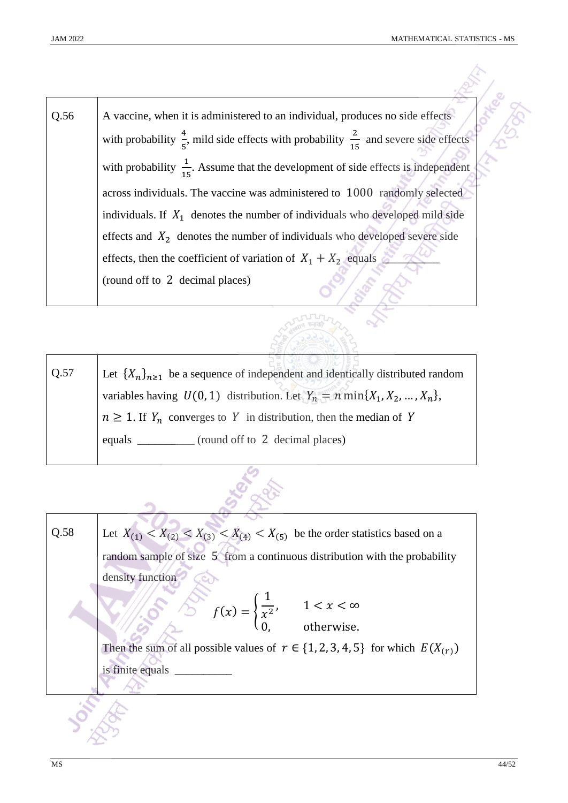| Q.56 | A vaccine, when it is administered to an individual, produces no side effects                              |
|------|------------------------------------------------------------------------------------------------------------|
|      | with probability $\frac{4}{5}$ , mild side effects with probability $\frac{2}{15}$ and severe side effects |
|      | with probability $\frac{1}{15}$ . Assume that the development of side effects is independent               |
|      | across individuals. The vaccine was administered to 1000 randomly selected                                 |
|      | individuals. If $X_1$ denotes the number of individuals who developed mild side                            |
|      | effects and $X_2$ denotes the number of individuals who developed severe side                              |
|      | effects, then the coefficient of variation of $X_1 + X_2$ equals                                           |
|      | (round off to 2 decimal places)                                                                            |

| Q.57 | Let $\{X_n\}_{n\geq 1}$ be a sequence of independent and identically distributed random |
|------|-----------------------------------------------------------------------------------------|
|      | variables having $U(0, 1)$ distribution. Let $Y_n = n \min\{X_1, X_2, , X_n\}$ ,        |
|      | $n \geq 1$ . If $Y_n$ converges to Y in distribution, then the median of Y              |
|      | (round off to 2 decimal places)<br>equals $\qquad$                                      |

 $\mathcal{L}$ 

**COLLEGE RANGE** 

Ż,

| Q.58 | Let $X_{(1)} < X_{(2)} < X_{(3)} < X_{(4)} < X_{(5)}$ be the order statistics based on a     |
|------|----------------------------------------------------------------------------------------------|
|      | random sample of size 5 from a continuous distribution with the probability                  |
|      | density function                                                                             |
|      | $f(x) = \begin{cases} \frac{1}{x^2}, & 1 < x < \infty \\ 0, & \text{otherwise.} \end{cases}$ |
|      |                                                                                              |
|      | Then the sum of all possible values of $r \in \{1, 2, 3, 4, 5\}$ for which $E(X_{(r)})$      |
|      | is finite equals                                                                             |
|      |                                                                                              |